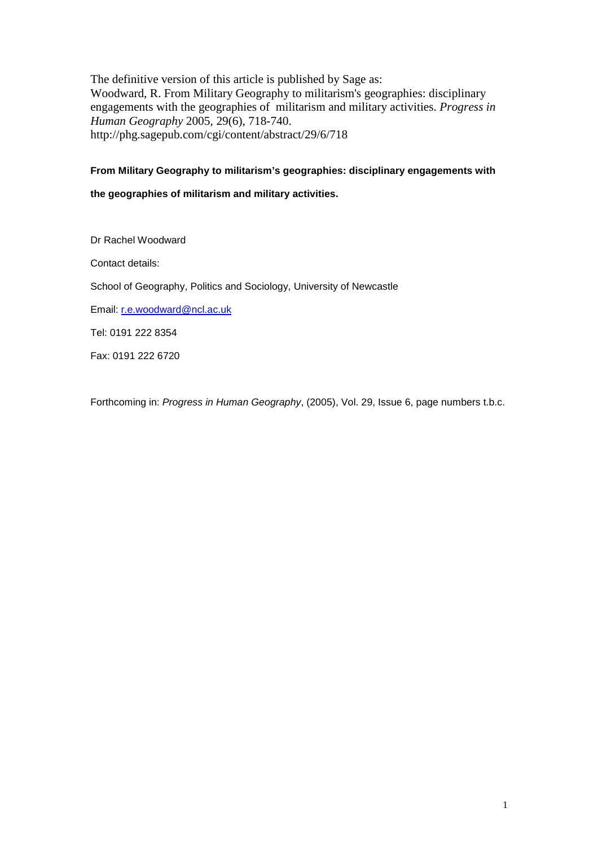The definitive version of this article is published by Sage as: Woodward, R. From Military Geography to militarism's geographies: disciplinary engagements with the geographies of militarism and military activities. *Progress in Human Geography* 2005, 29(6), 718-740. http://phg.sagepub.com/cgi/content/abstract/29/6/718

# **From Military Geography to militarism's geographies: disciplinary engagements with**

**the geographies of militarism and military activities.** 

Dr Rachel Woodward

Contact details:

School of Geography, Politics and Sociology, University of Newcastle

Email: r.e.woodward@ncl.ac.uk

Tel: 0191 222 8354

Fax: 0191 222 6720

Forthcoming in: Progress in Human Geography, (2005), Vol. 29, Issue 6, page numbers t.b.c.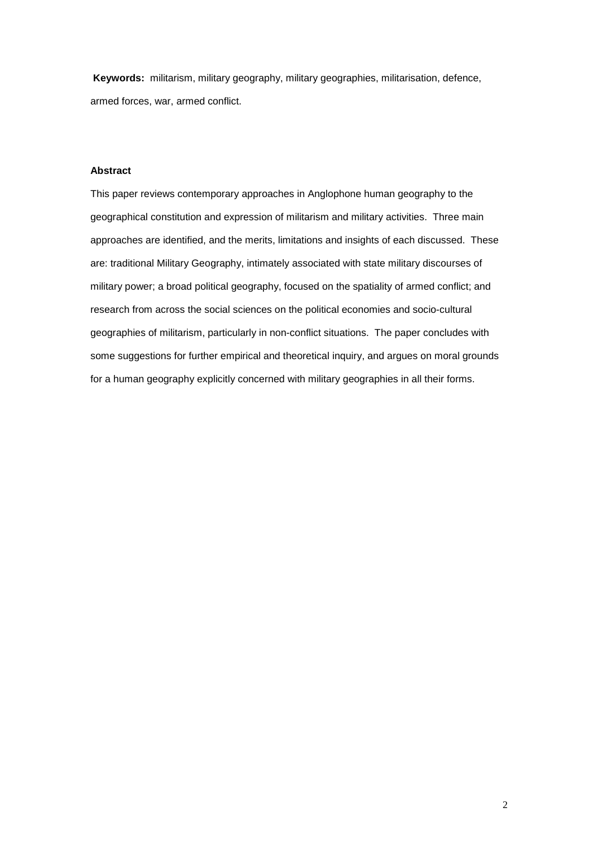**Keywords:** militarism, military geography, military geographies, militarisation, defence, armed forces, war, armed conflict.

### **Abstract**

This paper reviews contemporary approaches in Anglophone human geography to the geographical constitution and expression of militarism and military activities. Three main approaches are identified, and the merits, limitations and insights of each discussed. These are: traditional Military Geography, intimately associated with state military discourses of military power; a broad political geography, focused on the spatiality of armed conflict; and research from across the social sciences on the political economies and socio-cultural geographies of militarism, particularly in non-conflict situations. The paper concludes with some suggestions for further empirical and theoretical inquiry, and argues on moral grounds for a human geography explicitly concerned with military geographies in all their forms.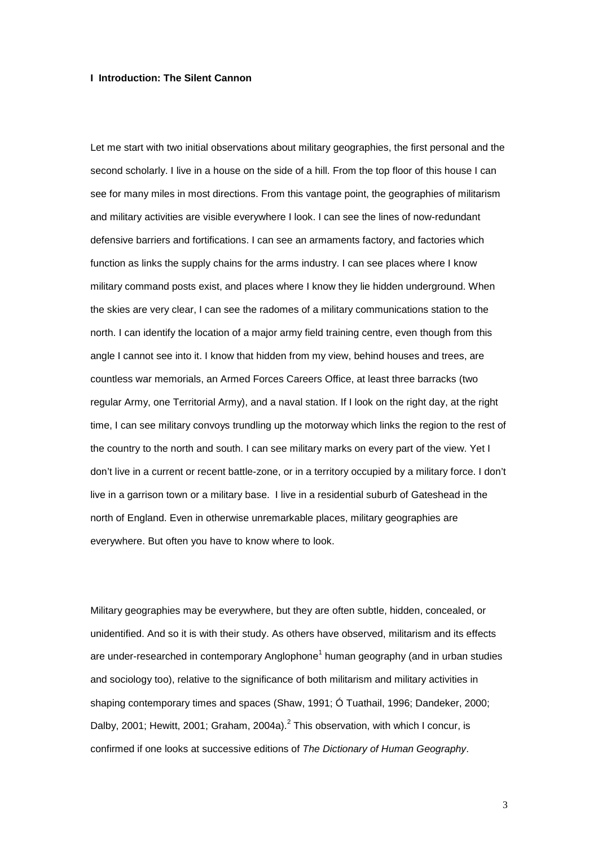### **I Introduction: The Silent Cannon**

Let me start with two initial observations about military geographies, the first personal and the second scholarly. I live in a house on the side of a hill. From the top floor of this house I can see for many miles in most directions. From this vantage point, the geographies of militarism and military activities are visible everywhere I look. I can see the lines of now-redundant defensive barriers and fortifications. I can see an armaments factory, and factories which function as links the supply chains for the arms industry. I can see places where I know military command posts exist, and places where I know they lie hidden underground. When the skies are very clear, I can see the radomes of a military communications station to the north. I can identify the location of a major army field training centre, even though from this angle I cannot see into it. I know that hidden from my view, behind houses and trees, are countless war memorials, an Armed Forces Careers Office, at least three barracks (two regular Army, one Territorial Army), and a naval station. If I look on the right day, at the right time, I can see military convoys trundling up the motorway which links the region to the rest of the country to the north and south. I can see military marks on every part of the view. Yet I don't live in a current or recent battle-zone, or in a territory occupied by a military force. I don't live in a garrison town or a military base. I live in a residential suburb of Gateshead in the north of England. Even in otherwise unremarkable places, military geographies are everywhere. But often you have to know where to look.

Military geographies may be everywhere, but they are often subtle, hidden, concealed, or unidentified. And so it is with their study. As others have observed, militarism and its effects are under-researched in contemporary Anglophone<sup>1</sup> human geography (and in urban studies and sociology too), relative to the significance of both militarism and military activities in shaping contemporary times and spaces (Shaw, 1991; Ó Tuathail, 1996; Dandeker, 2000; Dalby, 2001; Hewitt, 2001; Graham, 2004a). $^2$  This observation, with which I concur, is confirmed if one looks at successive editions of The Dictionary of Human Geography.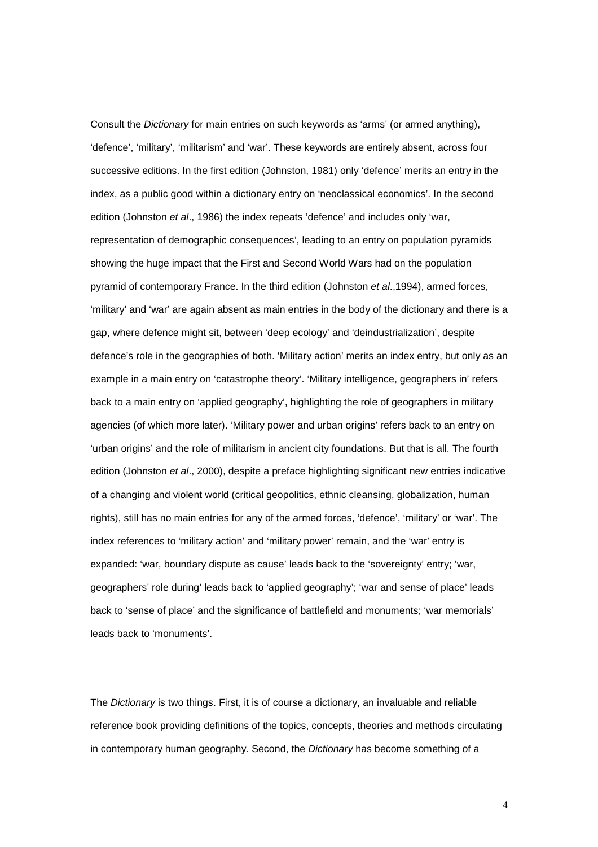Consult the Dictionary for main entries on such keywords as 'arms' (or armed anything), 'defence', 'military', 'militarism' and 'war'. These keywords are entirely absent, across four successive editions. In the first edition (Johnston, 1981) only 'defence' merits an entry in the index, as a public good within a dictionary entry on 'neoclassical economics'. In the second edition (Johnston et al., 1986) the index repeats 'defence' and includes only 'war, representation of demographic consequences', leading to an entry on population pyramids showing the huge impact that the First and Second World Wars had on the population pyramid of contemporary France. In the third edition (Johnston et al.,1994), armed forces, 'military' and 'war' are again absent as main entries in the body of the dictionary and there is a gap, where defence might sit, between 'deep ecology' and 'deindustrialization', despite defence's role in the geographies of both. 'Military action' merits an index entry, but only as an example in a main entry on 'catastrophe theory'. 'Military intelligence, geographers in' refers back to a main entry on 'applied geography', highlighting the role of geographers in military agencies (of which more later). 'Military power and urban origins' refers back to an entry on 'urban origins' and the role of militarism in ancient city foundations. But that is all. The fourth edition (Johnston et al., 2000), despite a preface highlighting significant new entries indicative of a changing and violent world (critical geopolitics, ethnic cleansing, globalization, human rights), still has no main entries for any of the armed forces, 'defence', 'military' or 'war'. The index references to 'military action' and 'military power' remain, and the 'war' entry is expanded: 'war, boundary dispute as cause' leads back to the 'sovereignty' entry; 'war, geographers' role during' leads back to 'applied geography'; 'war and sense of place' leads back to 'sense of place' and the significance of battlefield and monuments; 'war memorials' leads back to 'monuments'.

The Dictionary is two things. First, it is of course a dictionary, an invaluable and reliable reference book providing definitions of the topics, concepts, theories and methods circulating in contemporary human geography. Second, the Dictionary has become something of a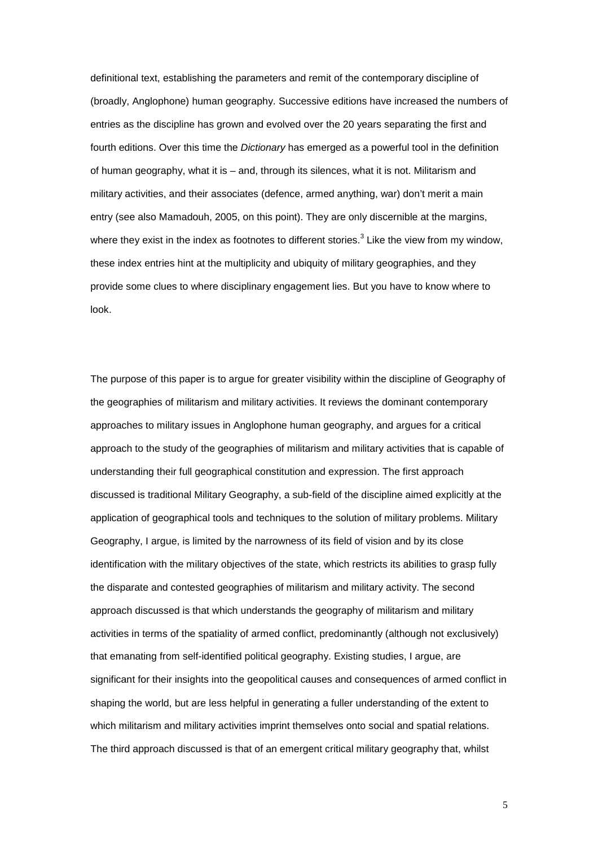definitional text, establishing the parameters and remit of the contemporary discipline of (broadly, Anglophone) human geography. Successive editions have increased the numbers of entries as the discipline has grown and evolved over the 20 years separating the first and fourth editions. Over this time the *Dictionary* has emerged as a powerful tool in the definition of human geography, what it is – and, through its silences, what it is not. Militarism and military activities, and their associates (defence, armed anything, war) don't merit a main entry (see also Mamadouh, 2005, on this point). They are only discernible at the margins, where they exist in the index as footnotes to different stories.<sup>3</sup> Like the view from my window, these index entries hint at the multiplicity and ubiquity of military geographies, and they provide some clues to where disciplinary engagement lies. But you have to know where to look.

The purpose of this paper is to argue for greater visibility within the discipline of Geography of the geographies of militarism and military activities. It reviews the dominant contemporary approaches to military issues in Anglophone human geography, and argues for a critical approach to the study of the geographies of militarism and military activities that is capable of understanding their full geographical constitution and expression. The first approach discussed is traditional Military Geography, a sub-field of the discipline aimed explicitly at the application of geographical tools and techniques to the solution of military problems. Military Geography, I argue, is limited by the narrowness of its field of vision and by its close identification with the military objectives of the state, which restricts its abilities to grasp fully the disparate and contested geographies of militarism and military activity. The second approach discussed is that which understands the geography of militarism and military activities in terms of the spatiality of armed conflict, predominantly (although not exclusively) that emanating from self-identified political geography. Existing studies, I argue, are significant for their insights into the geopolitical causes and consequences of armed conflict in shaping the world, but are less helpful in generating a fuller understanding of the extent to which militarism and military activities imprint themselves onto social and spatial relations. The third approach discussed is that of an emergent critical military geography that, whilst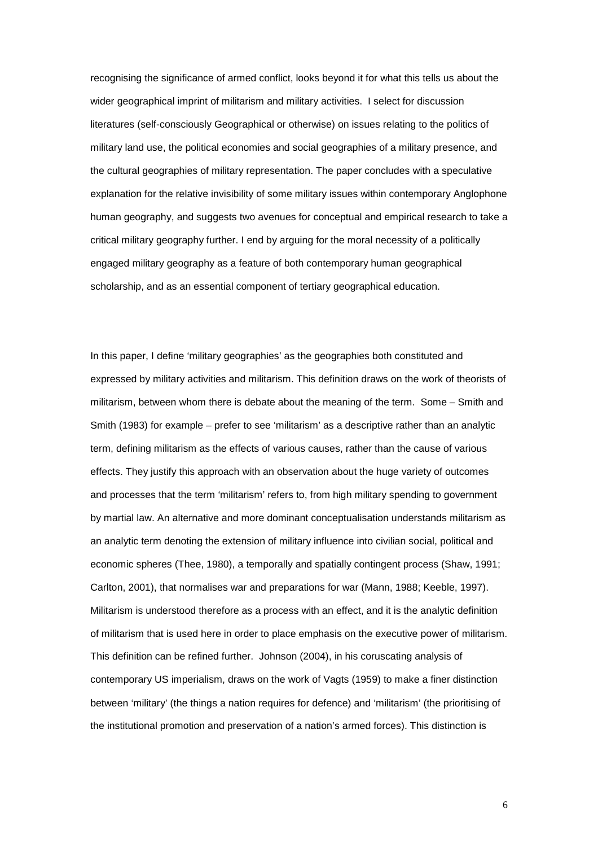recognising the significance of armed conflict, looks beyond it for what this tells us about the wider geographical imprint of militarism and military activities. I select for discussion literatures (self-consciously Geographical or otherwise) on issues relating to the politics of military land use, the political economies and social geographies of a military presence, and the cultural geographies of military representation. The paper concludes with a speculative explanation for the relative invisibility of some military issues within contemporary Anglophone human geography, and suggests two avenues for conceptual and empirical research to take a critical military geography further. I end by arguing for the moral necessity of a politically engaged military geography as a feature of both contemporary human geographical scholarship, and as an essential component of tertiary geographical education.

In this paper, I define 'military geographies' as the geographies both constituted and expressed by military activities and militarism. This definition draws on the work of theorists of militarism, between whom there is debate about the meaning of the term. Some – Smith and Smith (1983) for example – prefer to see 'militarism' as a descriptive rather than an analytic term, defining militarism as the effects of various causes, rather than the cause of various effects. They justify this approach with an observation about the huge variety of outcomes and processes that the term 'militarism' refers to, from high military spending to government by martial law. An alternative and more dominant conceptualisation understands militarism as an analytic term denoting the extension of military influence into civilian social, political and economic spheres (Thee, 1980), a temporally and spatially contingent process (Shaw, 1991; Carlton, 2001), that normalises war and preparations for war (Mann, 1988; Keeble, 1997). Militarism is understood therefore as a process with an effect, and it is the analytic definition of militarism that is used here in order to place emphasis on the executive power of militarism. This definition can be refined further. Johnson (2004), in his coruscating analysis of contemporary US imperialism, draws on the work of Vagts (1959) to make a finer distinction between 'military' (the things a nation requires for defence) and 'militarism' (the prioritising of the institutional promotion and preservation of a nation's armed forces). This distinction is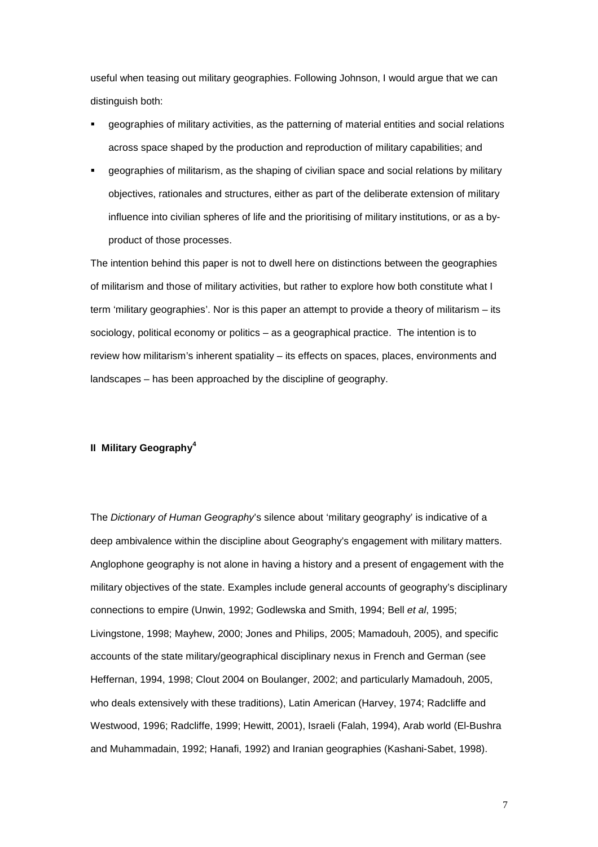useful when teasing out military geographies. Following Johnson, I would argue that we can distinguish both:

- geographies of military activities, as the patterning of material entities and social relations across space shaped by the production and reproduction of military capabilities; and
- geographies of militarism, as the shaping of civilian space and social relations by military objectives, rationales and structures, either as part of the deliberate extension of military influence into civilian spheres of life and the prioritising of military institutions, or as a byproduct of those processes.

The intention behind this paper is not to dwell here on distinctions between the geographies of militarism and those of military activities, but rather to explore how both constitute what I term 'military geographies'. Nor is this paper an attempt to provide a theory of militarism – its sociology, political economy or politics – as a geographical practice. The intention is to review how militarism's inherent spatiality – its effects on spaces, places, environments and landscapes – has been approached by the discipline of geography.

## **II Military Geography<sup>4</sup>**

The Dictionary of Human Geography's silence about 'military geography' is indicative of a deep ambivalence within the discipline about Geography's engagement with military matters. Anglophone geography is not alone in having a history and a present of engagement with the military objectives of the state. Examples include general accounts of geography's disciplinary connections to empire (Unwin, 1992; Godlewska and Smith, 1994; Bell et al, 1995; Livingstone, 1998; Mayhew, 2000; Jones and Philips, 2005; Mamadouh, 2005), and specific accounts of the state military/geographical disciplinary nexus in French and German (see Heffernan, 1994, 1998; Clout 2004 on Boulanger, 2002; and particularly Mamadouh, 2005, who deals extensively with these traditions), Latin American (Harvey, 1974; Radcliffe and Westwood, 1996; Radcliffe, 1999; Hewitt, 2001), Israeli (Falah, 1994), Arab world (El-Bushra and Muhammadain, 1992; Hanafi, 1992) and Iranian geographies (Kashani-Sabet, 1998).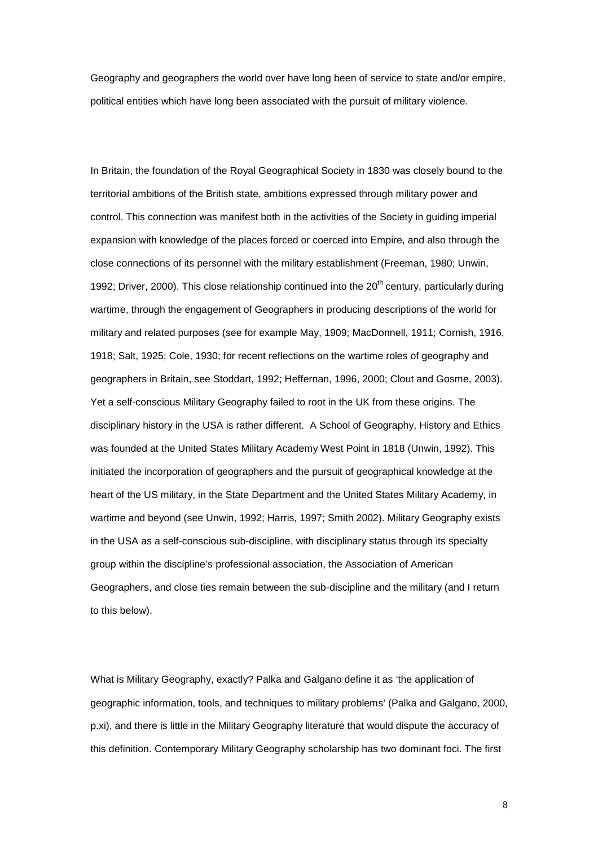Geography and geographers the world over have long been of service to state and/or empire, political entities which have long been associated with the pursuit of military violence.

In Britain, the foundation of the Royal Geographical Society in 1830 was closely bound to the territorial ambitions of the British state, ambitions expressed through military power and control. This connection was manifest both in the activities of the Society in guiding imperial expansion with knowledge of the places forced or coerced into Empire, and also through the close connections of its personnel with the military establishment (Freeman, 1980; Unwin, 1992; Driver, 2000). This close relationship continued into the  $20<sup>th</sup>$  century, particularly during wartime, through the engagement of Geographers in producing descriptions of the world for military and related purposes (see for example May, 1909; MacDonnell, 1911; Cornish, 1916, 1918; Salt, 1925; Cole, 1930; for recent reflections on the wartime roles of geography and geographers in Britain, see Stoddart, 1992; Heffernan, 1996, 2000; Clout and Gosme, 2003). Yet a self-conscious Military Geography failed to root in the UK from these origins. The disciplinary history in the USA is rather different. A School of Geography, History and Ethics was founded at the United States Military Academy West Point in 1818 (Unwin, 1992). This initiated the incorporation of geographers and the pursuit of geographical knowledge at the heart of the US military, in the State Department and the United States Military Academy, in wartime and beyond (see Unwin, 1992; Harris, 1997; Smith 2002). Military Geography exists in the USA as a self-conscious sub-discipline, with disciplinary status through its specialty group within the discipline's professional association, the Association of American Geographers, and close ties remain between the sub-discipline and the military (and I return to this below).

What is Military Geography, exactly? Palka and Galgano define it as 'the application of geographic information, tools, and techniques to military problems' (Palka and Galgano, 2000, p.xi), and there is little in the Military Geography literature that would dispute the accuracy of this definition. Contemporary Military Geography scholarship has two dominant foci. The first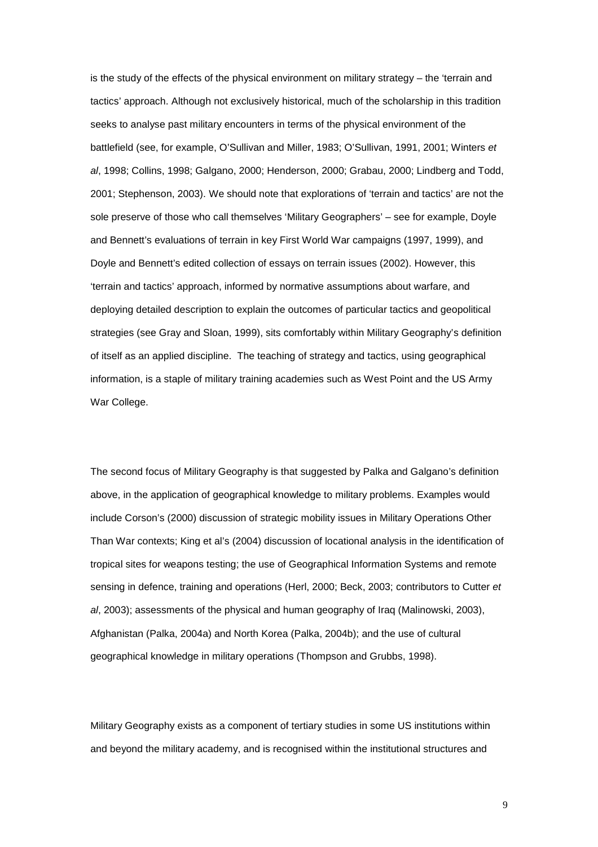is the study of the effects of the physical environment on military strategy – the 'terrain and tactics' approach. Although not exclusively historical, much of the scholarship in this tradition seeks to analyse past military encounters in terms of the physical environment of the battlefield (see, for example, O'Sullivan and Miller, 1983; O'Sullivan, 1991, 2001; Winters et al, 1998; Collins, 1998; Galgano, 2000; Henderson, 2000; Grabau, 2000; Lindberg and Todd, 2001; Stephenson, 2003). We should note that explorations of 'terrain and tactics' are not the sole preserve of those who call themselves 'Military Geographers' – see for example, Doyle and Bennett's evaluations of terrain in key First World War campaigns (1997, 1999), and Doyle and Bennett's edited collection of essays on terrain issues (2002). However, this 'terrain and tactics' approach, informed by normative assumptions about warfare, and deploying detailed description to explain the outcomes of particular tactics and geopolitical strategies (see Gray and Sloan, 1999), sits comfortably within Military Geography's definition of itself as an applied discipline. The teaching of strategy and tactics, using geographical information, is a staple of military training academies such as West Point and the US Army War College.

The second focus of Military Geography is that suggested by Palka and Galgano's definition above, in the application of geographical knowledge to military problems. Examples would include Corson's (2000) discussion of strategic mobility issues in Military Operations Other Than War contexts; King et al's (2004) discussion of locational analysis in the identification of tropical sites for weapons testing; the use of Geographical Information Systems and remote sensing in defence, training and operations (Herl, 2000; Beck, 2003; contributors to Cutter et al, 2003); assessments of the physical and human geography of Iraq (Malinowski, 2003), Afghanistan (Palka, 2004a) and North Korea (Palka, 2004b); and the use of cultural geographical knowledge in military operations (Thompson and Grubbs, 1998).

Military Geography exists as a component of tertiary studies in some US institutions within and beyond the military academy, and is recognised within the institutional structures and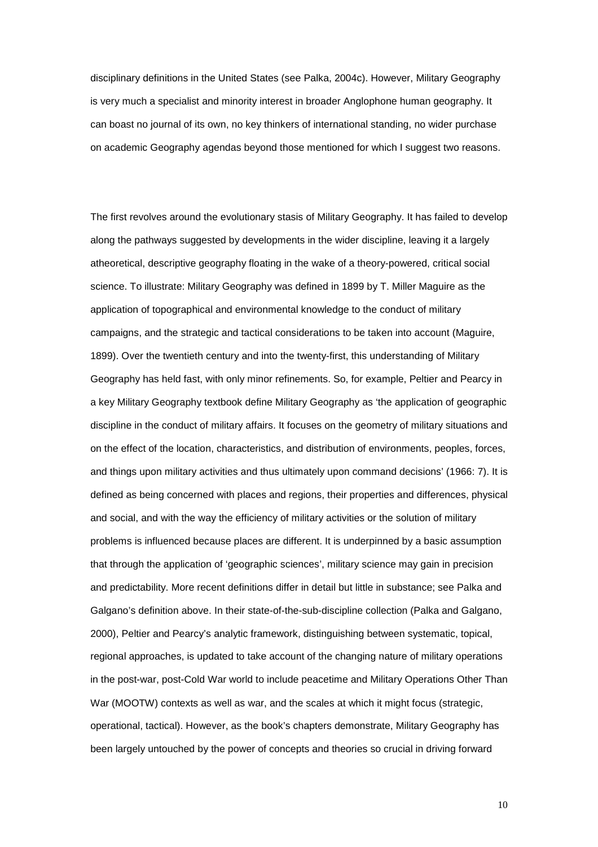disciplinary definitions in the United States (see Palka, 2004c). However, Military Geography is very much a specialist and minority interest in broader Anglophone human geography. It can boast no journal of its own, no key thinkers of international standing, no wider purchase on academic Geography agendas beyond those mentioned for which I suggest two reasons.

The first revolves around the evolutionary stasis of Military Geography. It has failed to develop along the pathways suggested by developments in the wider discipline, leaving it a largely atheoretical, descriptive geography floating in the wake of a theory-powered, critical social science. To illustrate: Military Geography was defined in 1899 by T. Miller Maguire as the application of topographical and environmental knowledge to the conduct of military campaigns, and the strategic and tactical considerations to be taken into account (Maguire, 1899). Over the twentieth century and into the twenty-first, this understanding of Military Geography has held fast, with only minor refinements. So, for example, Peltier and Pearcy in a key Military Geography textbook define Military Geography as 'the application of geographic discipline in the conduct of military affairs. It focuses on the geometry of military situations and on the effect of the location, characteristics, and distribution of environments, peoples, forces, and things upon military activities and thus ultimately upon command decisions' (1966: 7). It is defined as being concerned with places and regions, their properties and differences, physical and social, and with the way the efficiency of military activities or the solution of military problems is influenced because places are different. It is underpinned by a basic assumption that through the application of 'geographic sciences', military science may gain in precision and predictability. More recent definitions differ in detail but little in substance; see Palka and Galgano's definition above. In their state-of-the-sub-discipline collection (Palka and Galgano, 2000), Peltier and Pearcy's analytic framework, distinguishing between systematic, topical, regional approaches, is updated to take account of the changing nature of military operations in the post-war, post-Cold War world to include peacetime and Military Operations Other Than War (MOOTW) contexts as well as war, and the scales at which it might focus (strategic, operational, tactical). However, as the book's chapters demonstrate, Military Geography has been largely untouched by the power of concepts and theories so crucial in driving forward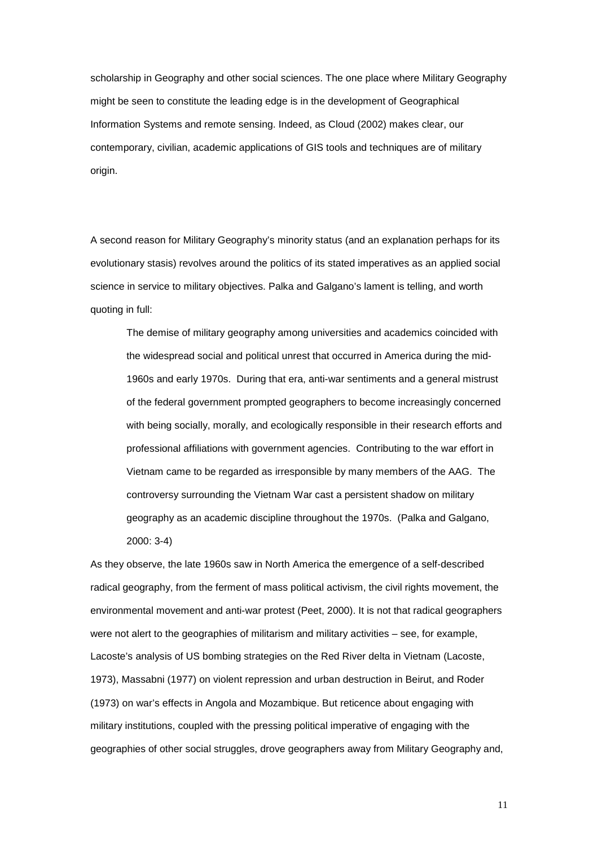scholarship in Geography and other social sciences. The one place where Military Geography might be seen to constitute the leading edge is in the development of Geographical Information Systems and remote sensing. Indeed, as Cloud (2002) makes clear, our contemporary, civilian, academic applications of GIS tools and techniques are of military origin.

A second reason for Military Geography's minority status (and an explanation perhaps for its evolutionary stasis) revolves around the politics of its stated imperatives as an applied social science in service to military objectives. Palka and Galgano's lament is telling, and worth quoting in full:

The demise of military geography among universities and academics coincided with the widespread social and political unrest that occurred in America during the mid-1960s and early 1970s. During that era, anti-war sentiments and a general mistrust of the federal government prompted geographers to become increasingly concerned with being socially, morally, and ecologically responsible in their research efforts and professional affiliations with government agencies. Contributing to the war effort in Vietnam came to be regarded as irresponsible by many members of the AAG. The controversy surrounding the Vietnam War cast a persistent shadow on military geography as an academic discipline throughout the 1970s. (Palka and Galgano, 2000: 3-4)

As they observe, the late 1960s saw in North America the emergence of a self-described radical geography, from the ferment of mass political activism, the civil rights movement, the environmental movement and anti-war protest (Peet, 2000). It is not that radical geographers were not alert to the geographies of militarism and military activities – see, for example, Lacoste's analysis of US bombing strategies on the Red River delta in Vietnam (Lacoste, 1973), Massabni (1977) on violent repression and urban destruction in Beirut, and Roder (1973) on war's effects in Angola and Mozambique. But reticence about engaging with military institutions, coupled with the pressing political imperative of engaging with the geographies of other social struggles, drove geographers away from Military Geography and,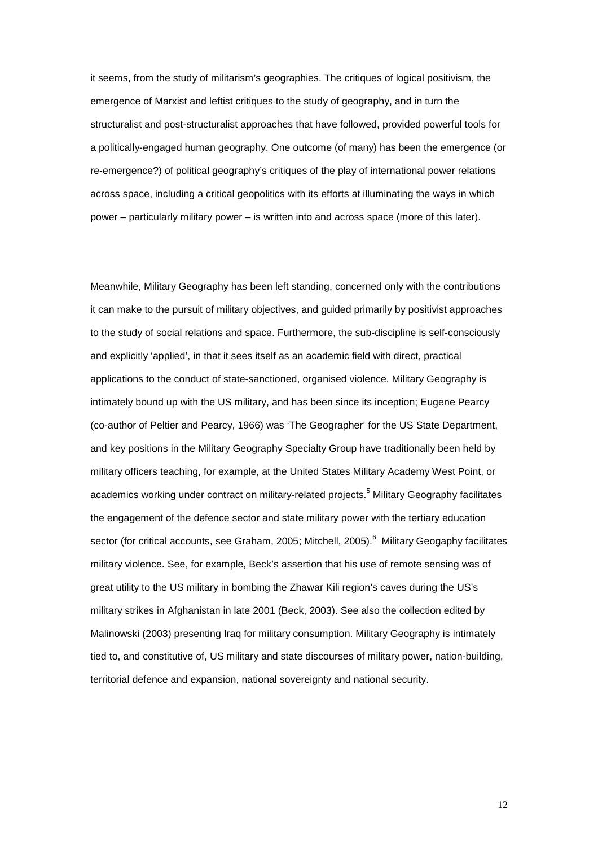it seems, from the study of militarism's geographies. The critiques of logical positivism, the emergence of Marxist and leftist critiques to the study of geography, and in turn the structuralist and post-structuralist approaches that have followed, provided powerful tools for a politically-engaged human geography. One outcome (of many) has been the emergence (or re-emergence?) of political geography's critiques of the play of international power relations across space, including a critical geopolitics with its efforts at illuminating the ways in which power – particularly military power – is written into and across space (more of this later).

Meanwhile, Military Geography has been left standing, concerned only with the contributions it can make to the pursuit of military objectives, and guided primarily by positivist approaches to the study of social relations and space. Furthermore, the sub-discipline is self-consciously and explicitly 'applied', in that it sees itself as an academic field with direct, practical applications to the conduct of state-sanctioned, organised violence. Military Geography is intimately bound up with the US military, and has been since its inception; Eugene Pearcy (co-author of Peltier and Pearcy, 1966) was 'The Geographer' for the US State Department, and key positions in the Military Geography Specialty Group have traditionally been held by military officers teaching, for example, at the United States Military Academy West Point, or academics working under contract on military-related projects.<sup>5</sup> Military Geography facilitates the engagement of the defence sector and state military power with the tertiary education sector (for critical accounts, see Graham, 2005; Mitchell, 2005).<sup>6</sup> Military Geogaphy facilitates military violence. See, for example, Beck's assertion that his use of remote sensing was of great utility to the US military in bombing the Zhawar Kili region's caves during the US's military strikes in Afghanistan in late 2001 (Beck, 2003). See also the collection edited by Malinowski (2003) presenting Iraq for military consumption. Military Geography is intimately tied to, and constitutive of, US military and state discourses of military power, nation-building, territorial defence and expansion, national sovereignty and national security.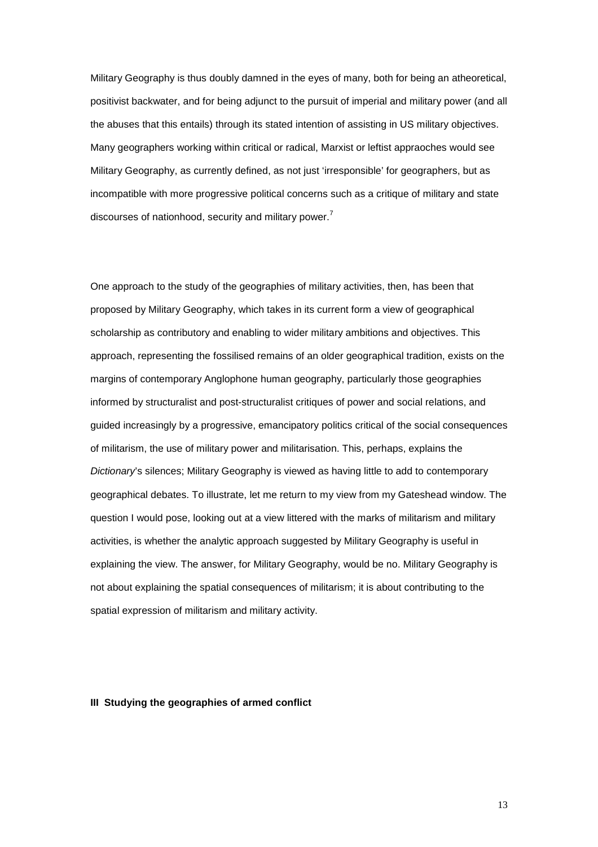Military Geography is thus doubly damned in the eyes of many, both for being an atheoretical, positivist backwater, and for being adjunct to the pursuit of imperial and military power (and all the abuses that this entails) through its stated intention of assisting in US military objectives. Many geographers working within critical or radical, Marxist or leftist appraoches would see Military Geography, as currently defined, as not just 'irresponsible' for geographers, but as incompatible with more progressive political concerns such as a critique of military and state discourses of nationhood, security and military power.<sup>7</sup>

One approach to the study of the geographies of military activities, then, has been that proposed by Military Geography, which takes in its current form a view of geographical scholarship as contributory and enabling to wider military ambitions and objectives. This approach, representing the fossilised remains of an older geographical tradition, exists on the margins of contemporary Anglophone human geography, particularly those geographies informed by structuralist and post-structuralist critiques of power and social relations, and guided increasingly by a progressive, emancipatory politics critical of the social consequences of militarism, the use of military power and militarisation. This, perhaps, explains the Dictionary's silences; Military Geography is viewed as having little to add to contemporary geographical debates. To illustrate, let me return to my view from my Gateshead window. The question I would pose, looking out at a view littered with the marks of militarism and military activities, is whether the analytic approach suggested by Military Geography is useful in explaining the view. The answer, for Military Geography, would be no. Military Geography is not about explaining the spatial consequences of militarism; it is about contributing to the spatial expression of militarism and military activity.

#### **III Studying the geographies of armed conflict**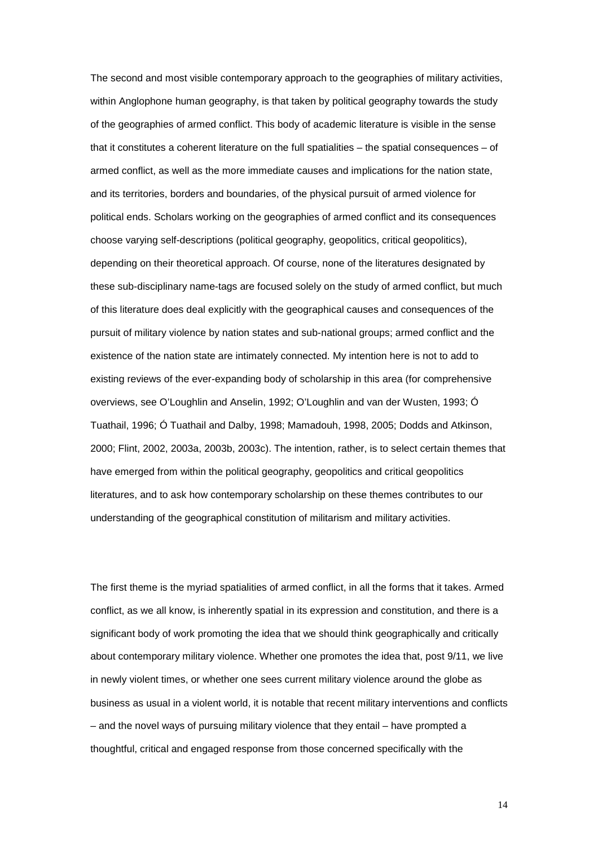The second and most visible contemporary approach to the geographies of military activities, within Anglophone human geography, is that taken by political geography towards the study of the geographies of armed conflict. This body of academic literature is visible in the sense that it constitutes a coherent literature on the full spatialities – the spatial consequences – of armed conflict, as well as the more immediate causes and implications for the nation state, and its territories, borders and boundaries, of the physical pursuit of armed violence for political ends. Scholars working on the geographies of armed conflict and its consequences choose varying self-descriptions (political geography, geopolitics, critical geopolitics), depending on their theoretical approach. Of course, none of the literatures designated by these sub-disciplinary name-tags are focused solely on the study of armed conflict, but much of this literature does deal explicitly with the geographical causes and consequences of the pursuit of military violence by nation states and sub-national groups; armed conflict and the existence of the nation state are intimately connected. My intention here is not to add to existing reviews of the ever-expanding body of scholarship in this area (for comprehensive overviews, see O'Loughlin and Anselin, 1992; O'Loughlin and van der Wusten, 1993; Ó Tuathail, 1996; Ó Tuathail and Dalby, 1998; Mamadouh, 1998, 2005; Dodds and Atkinson, 2000; Flint, 2002, 2003a, 2003b, 2003c). The intention, rather, is to select certain themes that have emerged from within the political geography, geopolitics and critical geopolitics literatures, and to ask how contemporary scholarship on these themes contributes to our understanding of the geographical constitution of militarism and military activities.

The first theme is the myriad spatialities of armed conflict, in all the forms that it takes. Armed conflict, as we all know, is inherently spatial in its expression and constitution, and there is a significant body of work promoting the idea that we should think geographically and critically about contemporary military violence. Whether one promotes the idea that, post 9/11, we live in newly violent times, or whether one sees current military violence around the globe as business as usual in a violent world, it is notable that recent military interventions and conflicts – and the novel ways of pursuing military violence that they entail – have prompted a thoughtful, critical and engaged response from those concerned specifically with the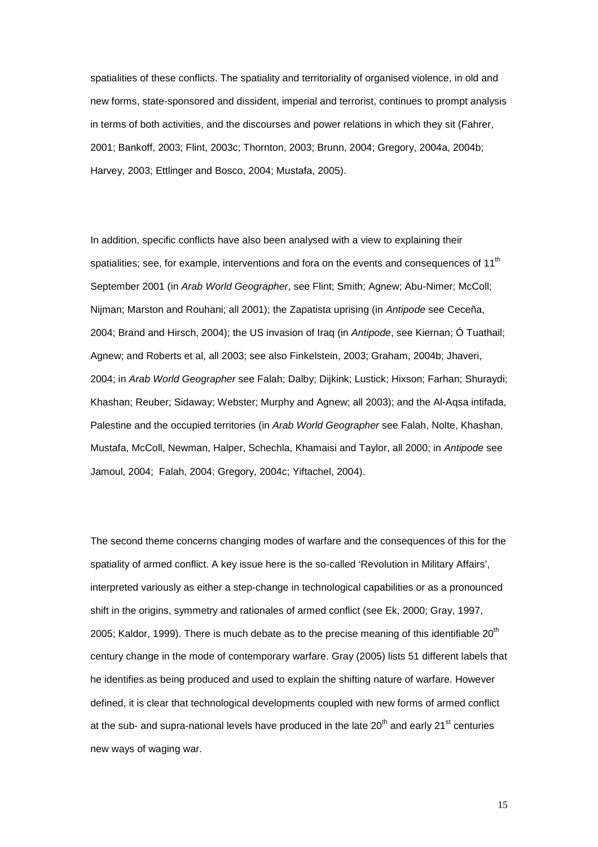spatialities of these conflicts. The spatiality and territoriality of organised violence, in old and new forms, state-sponsored and dissident, imperial and terrorist, continues to prompt analysis in terms of both activities, and the discourses and power relations in which they sit (Fahrer, 2001; Bankoff, 2003; Flint, 2003c; Thornton, 2003; Brunn, 2004; Gregory, 2004a, 2004b; Harvey, 2003; Ettlinger and Bosco, 2004; Mustafa, 2005).

In addition, specific conflicts have also been analysed with a view to explaining their spatialities; see, for example, interventions and fora on the events and consequences of 11<sup>th</sup> September 2001 (in Arab World Geographer, see Flint; Smith; Agnew; Abu-Nimer; McColl; Nijman; Marston and Rouhani; all 2001); the Zapatista uprising (in Antipode see Ceceña, 2004; Brand and Hirsch, 2004); the US invasion of Iraq (in Antipode, see Kiernan; Ó Tuathail; Agnew; and Roberts et al, all 2003; see also Finkelstein, 2003; Graham, 2004b; Jhaveri, 2004; in Arab World Geographer see Falah; Dalby; Dijkink; Lustick; Hixson; Farhan; Shuraydi; Khashan; Reuber; Sidaway; Webster; Murphy and Agnew; all 2003); and the Al-Aqsa intifada, Palestine and the occupied territories (in Arab World Geographer see Falah, Nolte, Khashan, Mustafa, McColl, Newman, Halper, Schechla, Khamaisi and Taylor, all 2000; in Antipode see Jamoul, 2004; Falah, 2004; Gregory, 2004c; Yiftachel, 2004).

The second theme concerns changing modes of warfare and the consequences of this for the spatiality of armed conflict. A key issue here is the so-called 'Revolution in Military Affairs', interpreted variously as either a step-change in technological capabilities or as a pronounced shift in the origins, symmetry and rationales of armed conflict (see Ek, 2000; Gray, 1997, 2005; Kaldor, 1999). There is much debate as to the precise meaning of this identifiable  $20<sup>th</sup>$ century change in the mode of contemporary warfare. Gray (2005) lists 51 different labels that he identifies as being produced and used to explain the shifting nature of warfare. However defined, it is clear that technological developments coupled with new forms of armed conflict at the sub- and supra-national levels have produced in the late  $20<sup>th</sup>$  and early  $21<sup>st</sup>$  centuries new ways of waging war.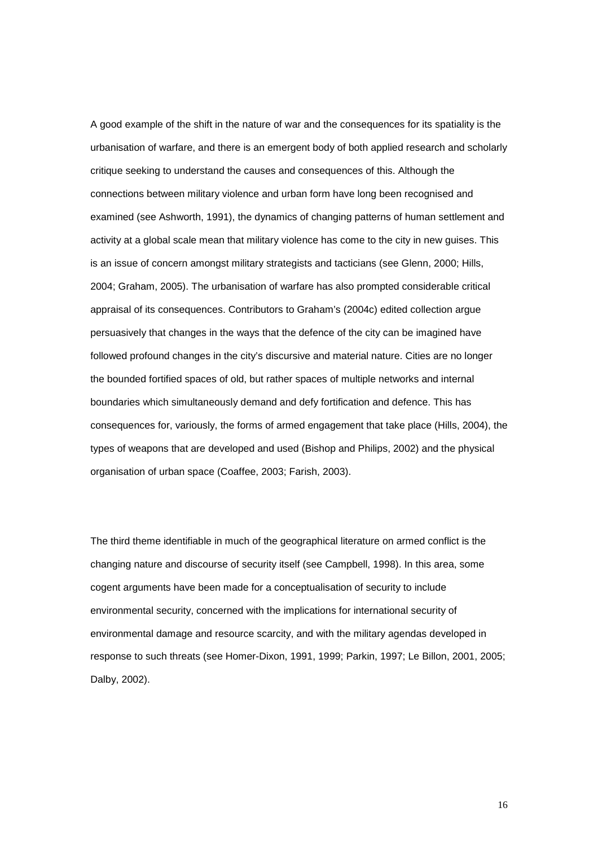A good example of the shift in the nature of war and the consequences for its spatiality is the urbanisation of warfare, and there is an emergent body of both applied research and scholarly critique seeking to understand the causes and consequences of this. Although the connections between military violence and urban form have long been recognised and examined (see Ashworth, 1991), the dynamics of changing patterns of human settlement and activity at a global scale mean that military violence has come to the city in new guises. This is an issue of concern amongst military strategists and tacticians (see Glenn, 2000; Hills, 2004; Graham, 2005). The urbanisation of warfare has also prompted considerable critical appraisal of its consequences. Contributors to Graham's (2004c) edited collection argue persuasively that changes in the ways that the defence of the city can be imagined have followed profound changes in the city's discursive and material nature. Cities are no longer the bounded fortified spaces of old, but rather spaces of multiple networks and internal boundaries which simultaneously demand and defy fortification and defence. This has consequences for, variously, the forms of armed engagement that take place (Hills, 2004), the types of weapons that are developed and used (Bishop and Philips, 2002) and the physical organisation of urban space (Coaffee, 2003; Farish, 2003).

The third theme identifiable in much of the geographical literature on armed conflict is the changing nature and discourse of security itself (see Campbell, 1998). In this area, some cogent arguments have been made for a conceptualisation of security to include environmental security, concerned with the implications for international security of environmental damage and resource scarcity, and with the military agendas developed in response to such threats (see Homer-Dixon, 1991, 1999; Parkin, 1997; Le Billon, 2001, 2005; Dalby, 2002).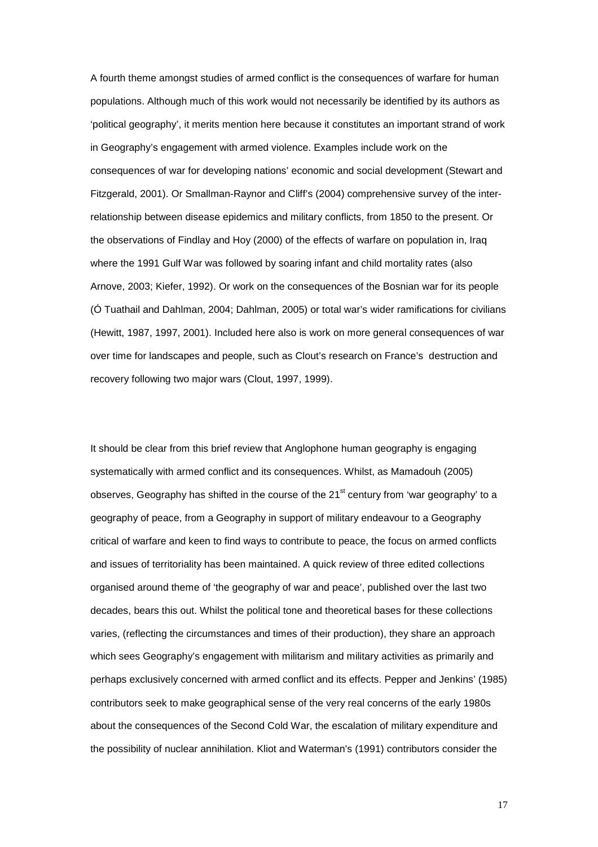A fourth theme amongst studies of armed conflict is the consequences of warfare for human populations. Although much of this work would not necessarily be identified by its authors as 'political geography', it merits mention here because it constitutes an important strand of work in Geography's engagement with armed violence. Examples include work on the consequences of war for developing nations' economic and social development (Stewart and Fitzgerald, 2001). Or Smallman-Raynor and Cliff's (2004) comprehensive survey of the interrelationship between disease epidemics and military conflicts, from 1850 to the present. Or the observations of Findlay and Hoy (2000) of the effects of warfare on population in, Iraq where the 1991 Gulf War was followed by soaring infant and child mortality rates (also Arnove, 2003; Kiefer, 1992). Or work on the consequences of the Bosnian war for its people (Ó Tuathail and Dahlman, 2004; Dahlman, 2005) or total war's wider ramifications for civilians (Hewitt, 1987, 1997, 2001). Included here also is work on more general consequences of war over time for landscapes and people, such as Clout's research on France's destruction and recovery following two major wars (Clout, 1997, 1999).

It should be clear from this brief review that Anglophone human geography is engaging systematically with armed conflict and its consequences. Whilst, as Mamadouh (2005) observes, Geography has shifted in the course of the 21<sup>st</sup> century from 'war geography' to a geography of peace, from a Geography in support of military endeavour to a Geography critical of warfare and keen to find ways to contribute to peace, the focus on armed conflicts and issues of territoriality has been maintained. A quick review of three edited collections organised around theme of 'the geography of war and peace', published over the last two decades, bears this out. Whilst the political tone and theoretical bases for these collections varies, (reflecting the circumstances and times of their production), they share an approach which sees Geography's engagement with militarism and military activities as primarily and perhaps exclusively concerned with armed conflict and its effects. Pepper and Jenkins' (1985) contributors seek to make geographical sense of the very real concerns of the early 1980s about the consequences of the Second Cold War, the escalation of military expenditure and the possibility of nuclear annihilation. Kliot and Waterman's (1991) contributors consider the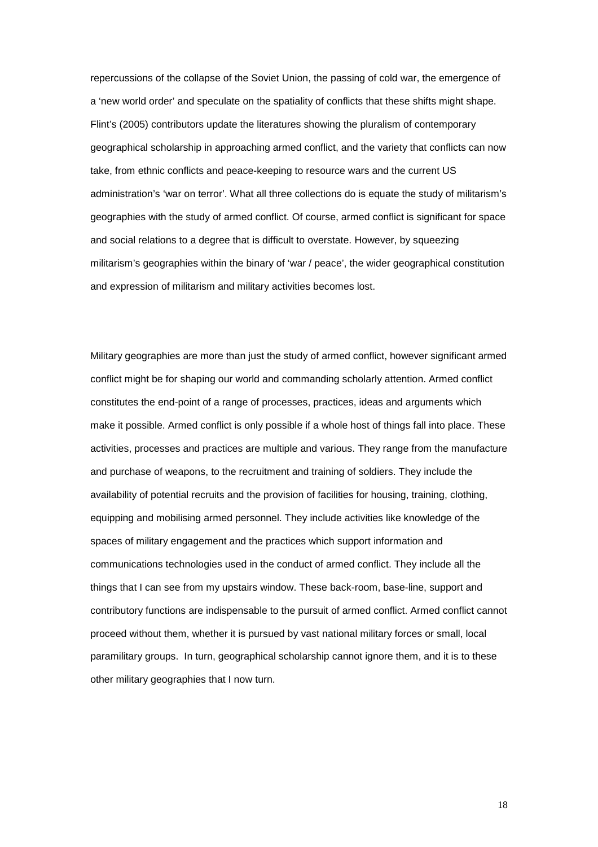repercussions of the collapse of the Soviet Union, the passing of cold war, the emergence of a 'new world order' and speculate on the spatiality of conflicts that these shifts might shape. Flint's (2005) contributors update the literatures showing the pluralism of contemporary geographical scholarship in approaching armed conflict, and the variety that conflicts can now take, from ethnic conflicts and peace-keeping to resource wars and the current US administration's 'war on terror'. What all three collections do is equate the study of militarism's geographies with the study of armed conflict. Of course, armed conflict is significant for space and social relations to a degree that is difficult to overstate. However, by squeezing militarism's geographies within the binary of 'war / peace', the wider geographical constitution and expression of militarism and military activities becomes lost.

Military geographies are more than just the study of armed conflict, however significant armed conflict might be for shaping our world and commanding scholarly attention. Armed conflict constitutes the end-point of a range of processes, practices, ideas and arguments which make it possible. Armed conflict is only possible if a whole host of things fall into place. These activities, processes and practices are multiple and various. They range from the manufacture and purchase of weapons, to the recruitment and training of soldiers. They include the availability of potential recruits and the provision of facilities for housing, training, clothing, equipping and mobilising armed personnel. They include activities like knowledge of the spaces of military engagement and the practices which support information and communications technologies used in the conduct of armed conflict. They include all the things that I can see from my upstairs window. These back-room, base-line, support and contributory functions are indispensable to the pursuit of armed conflict. Armed conflict cannot proceed without them, whether it is pursued by vast national military forces or small, local paramilitary groups. In turn, geographical scholarship cannot ignore them, and it is to these other military geographies that I now turn.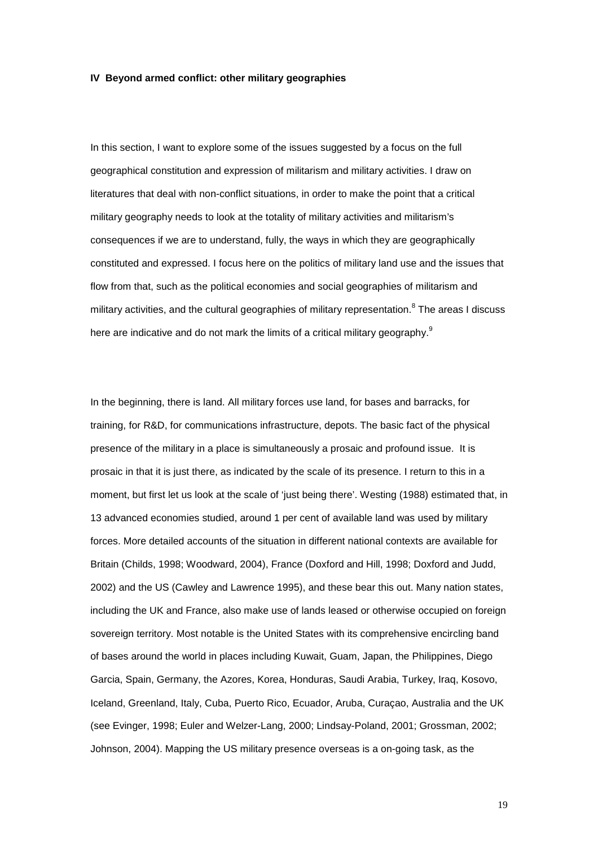#### **IV Beyond armed conflict: other military geographies**

In this section, I want to explore some of the issues suggested by a focus on the full geographical constitution and expression of militarism and military activities. I draw on literatures that deal with non-conflict situations, in order to make the point that a critical military geography needs to look at the totality of military activities and militarism's consequences if we are to understand, fully, the ways in which they are geographically constituted and expressed. I focus here on the politics of military land use and the issues that flow from that, such as the political economies and social geographies of militarism and military activities, and the cultural geographies of military representation.<sup>8</sup> The areas I discuss here are indicative and do not mark the limits of a critical military geography.<sup>9</sup>

In the beginning, there is land. All military forces use land, for bases and barracks, for training, for R&D, for communications infrastructure, depots. The basic fact of the physical presence of the military in a place is simultaneously a prosaic and profound issue. It is prosaic in that it is just there, as indicated by the scale of its presence. I return to this in a moment, but first let us look at the scale of 'just being there'. Westing (1988) estimated that, in 13 advanced economies studied, around 1 per cent of available land was used by military forces. More detailed accounts of the situation in different national contexts are available for Britain (Childs, 1998; Woodward, 2004), France (Doxford and Hill, 1998; Doxford and Judd, 2002) and the US (Cawley and Lawrence 1995), and these bear this out. Many nation states, including the UK and France, also make use of lands leased or otherwise occupied on foreign sovereign territory. Most notable is the United States with its comprehensive encircling band of bases around the world in places including Kuwait, Guam, Japan, the Philippines, Diego Garcia, Spain, Germany, the Azores, Korea, Honduras, Saudi Arabia, Turkey, Iraq, Kosovo, Iceland, Greenland, Italy, Cuba, Puerto Rico, Ecuador, Aruba, Curaçao, Australia and the UK (see Evinger, 1998; Euler and Welzer-Lang, 2000; Lindsay-Poland, 2001; Grossman, 2002; Johnson, 2004). Mapping the US military presence overseas is a on-going task, as the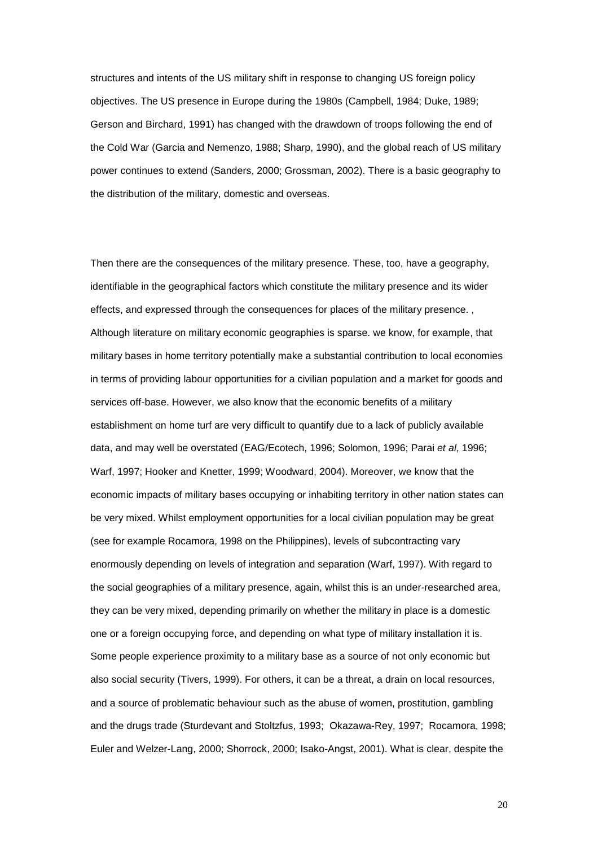structures and intents of the US military shift in response to changing US foreign policy objectives. The US presence in Europe during the 1980s (Campbell, 1984; Duke, 1989; Gerson and Birchard, 1991) has changed with the drawdown of troops following the end of the Cold War (Garcia and Nemenzo, 1988; Sharp, 1990), and the global reach of US military power continues to extend (Sanders, 2000; Grossman, 2002). There is a basic geography to the distribution of the military, domestic and overseas.

Then there are the consequences of the military presence. These, too, have a geography, identifiable in the geographical factors which constitute the military presence and its wider effects, and expressed through the consequences for places of the military presence. , Although literature on military economic geographies is sparse. we know, for example, that military bases in home territory potentially make a substantial contribution to local economies in terms of providing labour opportunities for a civilian population and a market for goods and services off-base. However, we also know that the economic benefits of a military establishment on home turf are very difficult to quantify due to a lack of publicly available data, and may well be overstated (EAG/Ecotech, 1996; Solomon, 1996; Parai et al, 1996; Warf, 1997; Hooker and Knetter, 1999; Woodward, 2004). Moreover, we know that the economic impacts of military bases occupying or inhabiting territory in other nation states can be very mixed. Whilst employment opportunities for a local civilian population may be great (see for example Rocamora, 1998 on the Philippines), levels of subcontracting vary enormously depending on levels of integration and separation (Warf, 1997). With regard to the social geographies of a military presence, again, whilst this is an under-researched area, they can be very mixed, depending primarily on whether the military in place is a domestic one or a foreign occupying force, and depending on what type of military installation it is. Some people experience proximity to a military base as a source of not only economic but also social security (Tivers, 1999). For others, it can be a threat, a drain on local resources, and a source of problematic behaviour such as the abuse of women, prostitution, gambling and the drugs trade (Sturdevant and Stoltzfus, 1993; Okazawa-Rey, 1997; Rocamora, 1998; Euler and Welzer-Lang, 2000; Shorrock, 2000; Isako-Angst, 2001). What is clear, despite the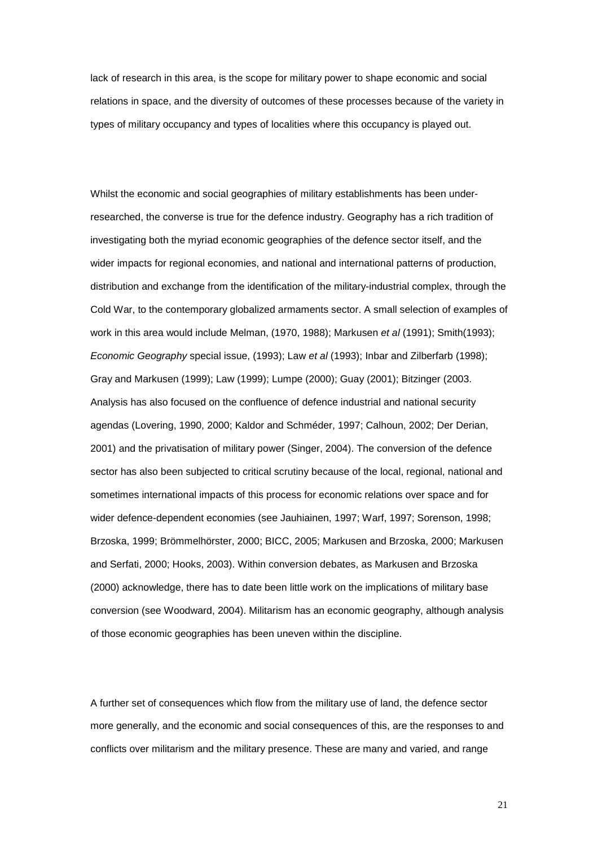lack of research in this area, is the scope for military power to shape economic and social relations in space, and the diversity of outcomes of these processes because of the variety in types of military occupancy and types of localities where this occupancy is played out.

Whilst the economic and social geographies of military establishments has been underresearched, the converse is true for the defence industry. Geography has a rich tradition of investigating both the myriad economic geographies of the defence sector itself, and the wider impacts for regional economies, and national and international patterns of production, distribution and exchange from the identification of the military-industrial complex, through the Cold War, to the contemporary globalized armaments sector. A small selection of examples of work in this area would include Melman, (1970, 1988); Markusen et al (1991); Smith(1993); Economic Geography special issue, (1993); Law et al (1993); Inbar and Zilberfarb (1998); Gray and Markusen (1999); Law (1999); Lumpe (2000); Guay (2001); Bitzinger (2003. Analysis has also focused on the confluence of defence industrial and national security agendas (Lovering, 1990, 2000; Kaldor and Schméder, 1997; Calhoun, 2002; Der Derian, 2001) and the privatisation of military power (Singer, 2004). The conversion of the defence sector has also been subjected to critical scrutiny because of the local, regional, national and sometimes international impacts of this process for economic relations over space and for wider defence-dependent economies (see Jauhiainen, 1997; Warf, 1997; Sorenson, 1998; Brzoska, 1999; Brömmelhörster, 2000; BICC, 2005; Markusen and Brzoska, 2000; Markusen and Serfati, 2000; Hooks, 2003). Within conversion debates, as Markusen and Brzoska (2000) acknowledge, there has to date been little work on the implications of military base conversion (see Woodward, 2004). Militarism has an economic geography, although analysis of those economic geographies has been uneven within the discipline.

A further set of consequences which flow from the military use of land, the defence sector more generally, and the economic and social consequences of this, are the responses to and conflicts over militarism and the military presence. These are many and varied, and range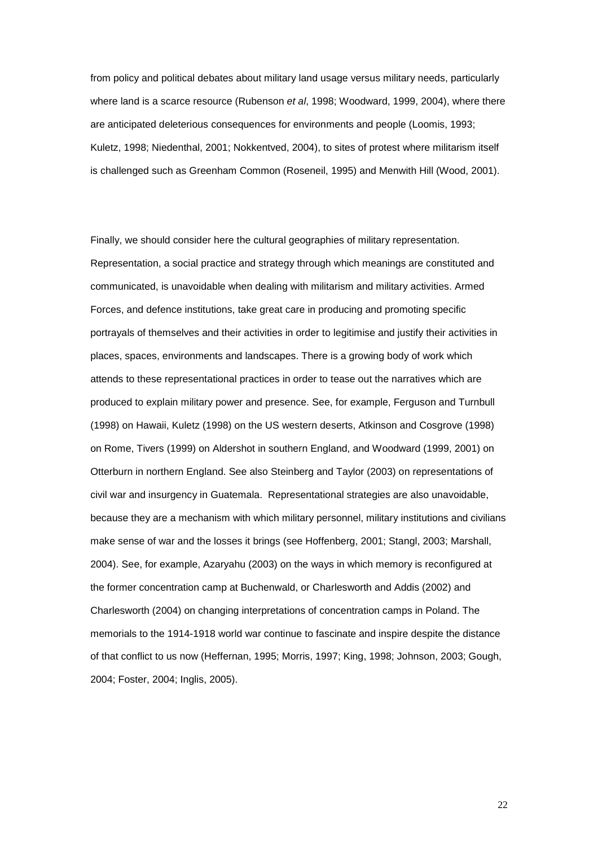from policy and political debates about military land usage versus military needs, particularly where land is a scarce resource (Rubenson et al, 1998; Woodward, 1999, 2004), where there are anticipated deleterious consequences for environments and people (Loomis, 1993; Kuletz, 1998; Niedenthal, 2001; Nokkentved, 2004), to sites of protest where militarism itself is challenged such as Greenham Common (Roseneil, 1995) and Menwith Hill (Wood, 2001).

Finally, we should consider here the cultural geographies of military representation. Representation, a social practice and strategy through which meanings are constituted and communicated, is unavoidable when dealing with militarism and military activities. Armed Forces, and defence institutions, take great care in producing and promoting specific portrayals of themselves and their activities in order to legitimise and justify their activities in places, spaces, environments and landscapes. There is a growing body of work which attends to these representational practices in order to tease out the narratives which are produced to explain military power and presence. See, for example, Ferguson and Turnbull (1998) on Hawaii, Kuletz (1998) on the US western deserts, Atkinson and Cosgrove (1998) on Rome, Tivers (1999) on Aldershot in southern England, and Woodward (1999, 2001) on Otterburn in northern England. See also Steinberg and Taylor (2003) on representations of civil war and insurgency in Guatemala. Representational strategies are also unavoidable, because they are a mechanism with which military personnel, military institutions and civilians make sense of war and the losses it brings (see Hoffenberg, 2001; Stangl, 2003; Marshall, 2004). See, for example, Azaryahu (2003) on the ways in which memory is reconfigured at the former concentration camp at Buchenwald, or Charlesworth and Addis (2002) and Charlesworth (2004) on changing interpretations of concentration camps in Poland. The memorials to the 1914-1918 world war continue to fascinate and inspire despite the distance of that conflict to us now (Heffernan, 1995; Morris, 1997; King, 1998; Johnson, 2003; Gough, 2004; Foster, 2004; Inglis, 2005).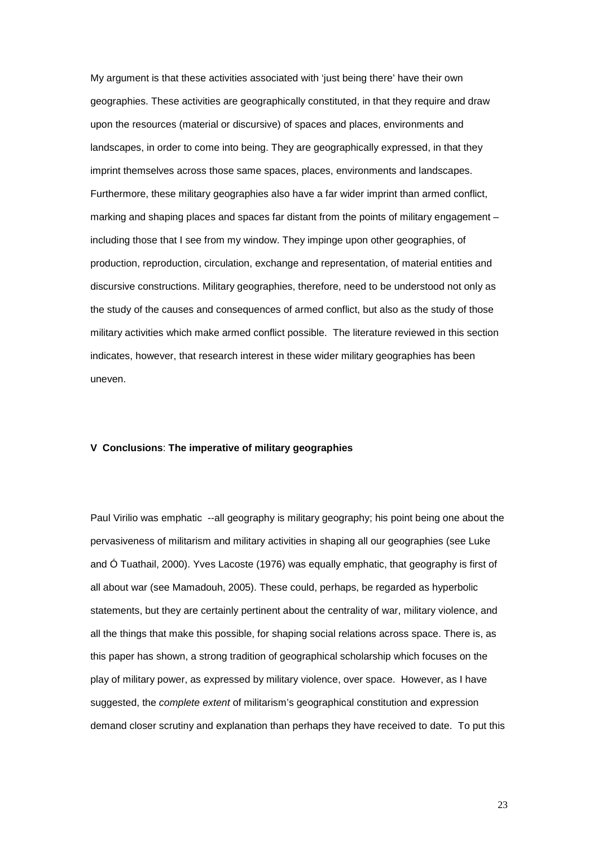My argument is that these activities associated with 'just being there' have their own geographies. These activities are geographically constituted, in that they require and draw upon the resources (material or discursive) of spaces and places, environments and landscapes, in order to come into being. They are geographically expressed, in that they imprint themselves across those same spaces, places, environments and landscapes. Furthermore, these military geographies also have a far wider imprint than armed conflict, marking and shaping places and spaces far distant from the points of military engagement – including those that I see from my window. They impinge upon other geographies, of production, reproduction, circulation, exchange and representation, of material entities and discursive constructions. Military geographies, therefore, need to be understood not only as the study of the causes and consequences of armed conflict, but also as the study of those military activities which make armed conflict possible. The literature reviewed in this section indicates, however, that research interest in these wider military geographies has been uneven.

#### **V Conclusions**: **The imperative of military geographies**

Paul Virilio was emphatic --all geography is military geography; his point being one about the pervasiveness of militarism and military activities in shaping all our geographies (see Luke and Ó Tuathail, 2000). Yves Lacoste (1976) was equally emphatic, that geography is first of all about war (see Mamadouh, 2005). These could, perhaps, be regarded as hyperbolic statements, but they are certainly pertinent about the centrality of war, military violence, and all the things that make this possible, for shaping social relations across space. There is, as this paper has shown, a strong tradition of geographical scholarship which focuses on the play of military power, as expressed by military violence, over space. However, as I have suggested, the *complete extent* of militarism's geographical constitution and expression demand closer scrutiny and explanation than perhaps they have received to date. To put this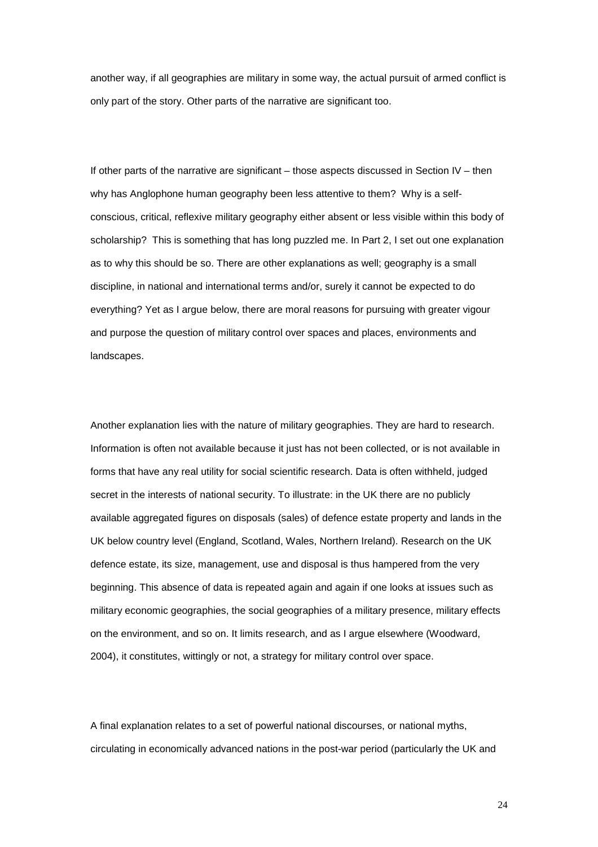another way, if all geographies are military in some way, the actual pursuit of armed conflict is only part of the story. Other parts of the narrative are significant too.

If other parts of the narrative are significant – those aspects discussed in Section IV – then why has Anglophone human geography been less attentive to them? Why is a selfconscious, critical, reflexive military geography either absent or less visible within this body of scholarship? This is something that has long puzzled me. In Part 2, I set out one explanation as to why this should be so. There are other explanations as well; geography is a small discipline, in national and international terms and/or, surely it cannot be expected to do everything? Yet as I argue below, there are moral reasons for pursuing with greater vigour and purpose the question of military control over spaces and places, environments and landscapes.

Another explanation lies with the nature of military geographies. They are hard to research. Information is often not available because it just has not been collected, or is not available in forms that have any real utility for social scientific research. Data is often withheld, judged secret in the interests of national security. To illustrate: in the UK there are no publicly available aggregated figures on disposals (sales) of defence estate property and lands in the UK below country level (England, Scotland, Wales, Northern Ireland). Research on the UK defence estate, its size, management, use and disposal is thus hampered from the very beginning. This absence of data is repeated again and again if one looks at issues such as military economic geographies, the social geographies of a military presence, military effects on the environment, and so on. It limits research, and as I argue elsewhere (Woodward, 2004), it constitutes, wittingly or not, a strategy for military control over space.

A final explanation relates to a set of powerful national discourses, or national myths, circulating in economically advanced nations in the post-war period (particularly the UK and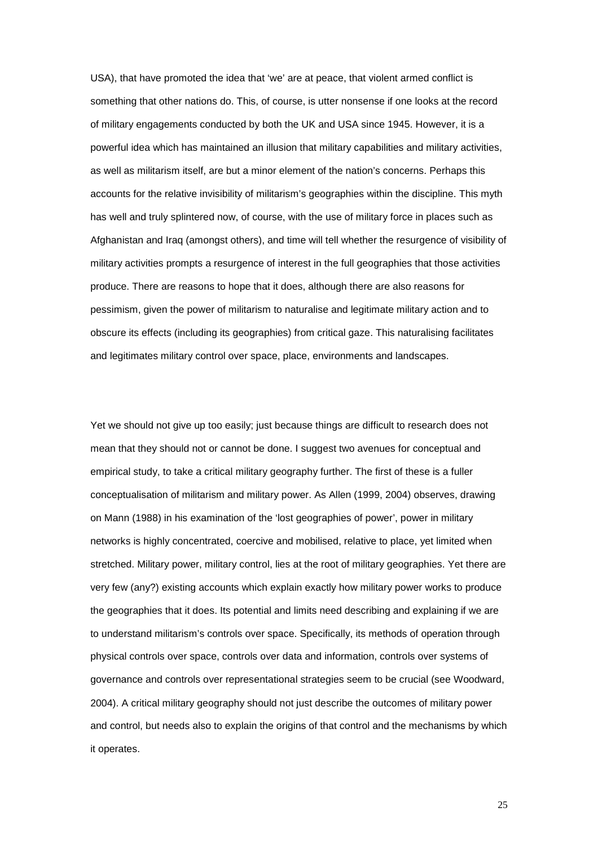USA), that have promoted the idea that 'we' are at peace, that violent armed conflict is something that other nations do. This, of course, is utter nonsense if one looks at the record of military engagements conducted by both the UK and USA since 1945. However, it is a powerful idea which has maintained an illusion that military capabilities and military activities, as well as militarism itself, are but a minor element of the nation's concerns. Perhaps this accounts for the relative invisibility of militarism's geographies within the discipline. This myth has well and truly splintered now, of course, with the use of military force in places such as Afghanistan and Iraq (amongst others), and time will tell whether the resurgence of visibility of military activities prompts a resurgence of interest in the full geographies that those activities produce. There are reasons to hope that it does, although there are also reasons for pessimism, given the power of militarism to naturalise and legitimate military action and to obscure its effects (including its geographies) from critical gaze. This naturalising facilitates and legitimates military control over space, place, environments and landscapes.

Yet we should not give up too easily; just because things are difficult to research does not mean that they should not or cannot be done. I suggest two avenues for conceptual and empirical study, to take a critical military geography further. The first of these is a fuller conceptualisation of militarism and military power. As Allen (1999, 2004) observes, drawing on Mann (1988) in his examination of the 'lost geographies of power', power in military networks is highly concentrated, coercive and mobilised, relative to place, yet limited when stretched. Military power, military control, lies at the root of military geographies. Yet there are very few (any?) existing accounts which explain exactly how military power works to produce the geographies that it does. Its potential and limits need describing and explaining if we are to understand militarism's controls over space. Specifically, its methods of operation through physical controls over space, controls over data and information, controls over systems of governance and controls over representational strategies seem to be crucial (see Woodward, 2004). A critical military geography should not just describe the outcomes of military power and control, but needs also to explain the origins of that control and the mechanisms by which it operates.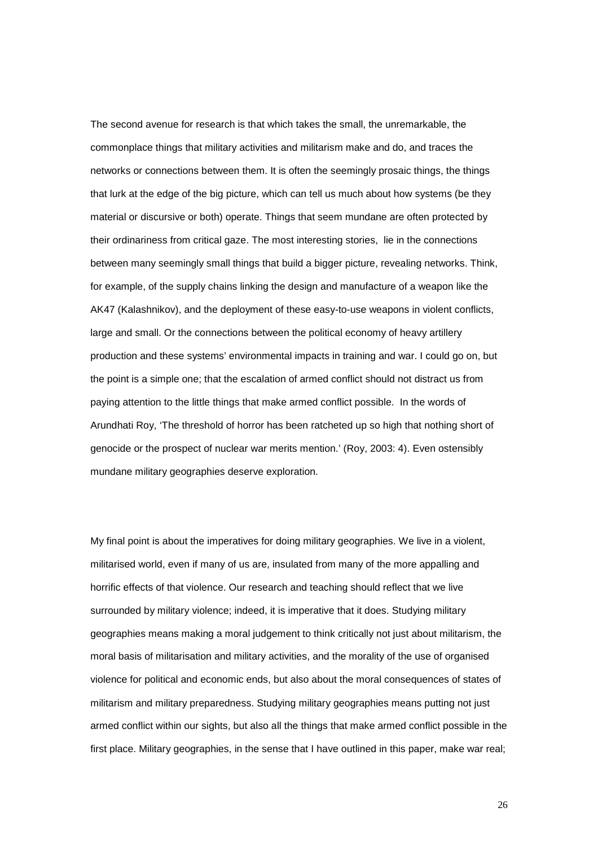The second avenue for research is that which takes the small, the unremarkable, the commonplace things that military activities and militarism make and do, and traces the networks or connections between them. It is often the seemingly prosaic things, the things that lurk at the edge of the big picture, which can tell us much about how systems (be they material or discursive or both) operate. Things that seem mundane are often protected by their ordinariness from critical gaze. The most interesting stories, lie in the connections between many seemingly small things that build a bigger picture, revealing networks. Think, for example, of the supply chains linking the design and manufacture of a weapon like the AK47 (Kalashnikov), and the deployment of these easy-to-use weapons in violent conflicts, large and small. Or the connections between the political economy of heavy artillery production and these systems' environmental impacts in training and war. I could go on, but the point is a simple one; that the escalation of armed conflict should not distract us from paying attention to the little things that make armed conflict possible. In the words of Arundhati Roy, 'The threshold of horror has been ratcheted up so high that nothing short of genocide or the prospect of nuclear war merits mention.' (Roy, 2003: 4). Even ostensibly mundane military geographies deserve exploration.

My final point is about the imperatives for doing military geographies. We live in a violent, militarised world, even if many of us are, insulated from many of the more appalling and horrific effects of that violence. Our research and teaching should reflect that we live surrounded by military violence; indeed, it is imperative that it does. Studying military geographies means making a moral judgement to think critically not just about militarism, the moral basis of militarisation and military activities, and the morality of the use of organised violence for political and economic ends, but also about the moral consequences of states of militarism and military preparedness. Studying military geographies means putting not just armed conflict within our sights, but also all the things that make armed conflict possible in the first place. Military geographies, in the sense that I have outlined in this paper, make war real;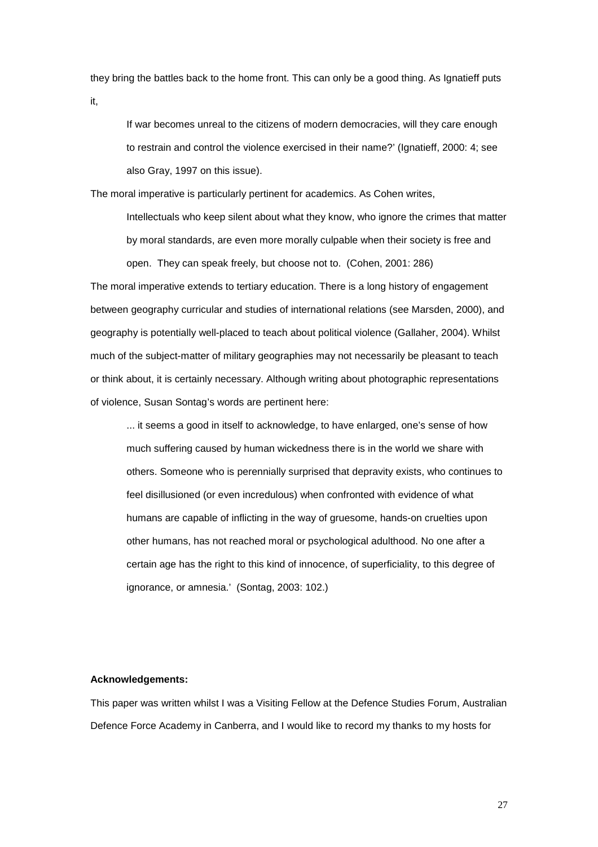they bring the battles back to the home front. This can only be a good thing. As Ignatieff puts it,

If war becomes unreal to the citizens of modern democracies, will they care enough to restrain and control the violence exercised in their name?' (Ignatieff, 2000: 4; see also Gray, 1997 on this issue).

The moral imperative is particularly pertinent for academics. As Cohen writes,

Intellectuals who keep silent about what they know, who ignore the crimes that matter by moral standards, are even more morally culpable when their society is free and open. They can speak freely, but choose not to. (Cohen, 2001: 286)

The moral imperative extends to tertiary education. There is a long history of engagement between geography curricular and studies of international relations (see Marsden, 2000), and geography is potentially well-placed to teach about political violence (Gallaher, 2004). Whilst much of the subject-matter of military geographies may not necessarily be pleasant to teach or think about, it is certainly necessary. Although writing about photographic representations of violence, Susan Sontag's words are pertinent here:

... it seems a good in itself to acknowledge, to have enlarged, one's sense of how much suffering caused by human wickedness there is in the world we share with others. Someone who is perennially surprised that depravity exists, who continues to feel disillusioned (or even incredulous) when confronted with evidence of what humans are capable of inflicting in the way of gruesome, hands-on cruelties upon other humans, has not reached moral or psychological adulthood. No one after a certain age has the right to this kind of innocence, of superficiality, to this degree of ignorance, or amnesia.' (Sontag, 2003: 102.)

#### **Acknowledgements:**

This paper was written whilst I was a Visiting Fellow at the Defence Studies Forum, Australian Defence Force Academy in Canberra, and I would like to record my thanks to my hosts for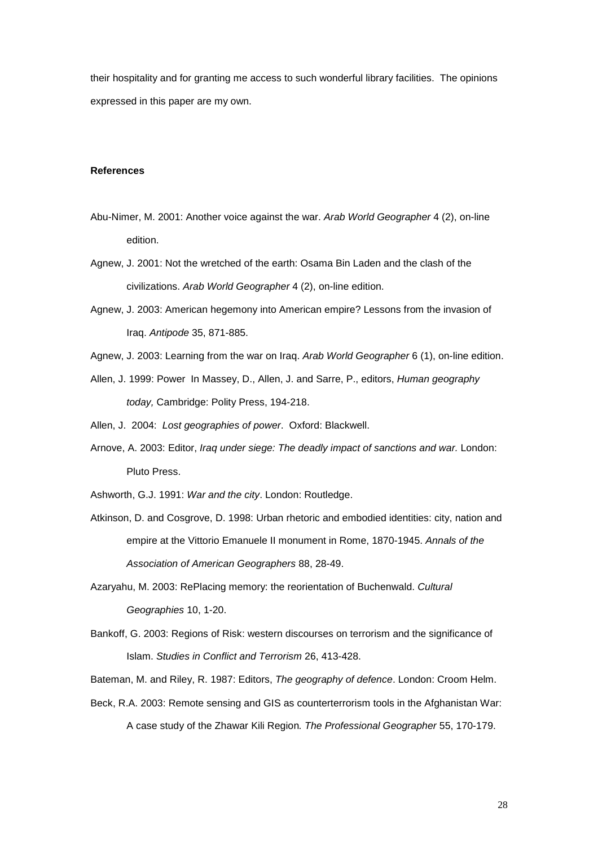their hospitality and for granting me access to such wonderful library facilities. The opinions expressed in this paper are my own.

### **References**

- Abu-Nimer, M. 2001: Another voice against the war. Arab World Geographer 4 (2), on-line edition.
- Agnew, J. 2001: Not the wretched of the earth: Osama Bin Laden and the clash of the civilizations. Arab World Geographer 4 (2), on-line edition.
- Agnew, J. 2003: American hegemony into American empire? Lessons from the invasion of Iraq. Antipode 35, 871-885.
- Agnew, J. 2003: Learning from the war on Iraq. Arab World Geographer 6 (1), on-line edition.
- Allen, J. 1999: Power In Massey, D., Allen, J. and Sarre, P., editors, Human geography today, Cambridge: Polity Press, 194-218.
- Allen, J. 2004: Lost geographies of power. Oxford: Blackwell.
- Arnove, A. 2003: Editor, Iraq under siege: The deadly impact of sanctions and war. London: Pluto Press.
- Ashworth, G.J. 1991: War and the city. London: Routledge.
- Atkinson, D. and Cosgrove, D. 1998: Urban rhetoric and embodied identities: city, nation and empire at the Vittorio Emanuele II monument in Rome, 1870-1945. Annals of the Association of American Geographers 88, 28-49.
- Azaryahu, M. 2003: RePlacing memory: the reorientation of Buchenwald. Cultural Geographies 10, 1-20.
- Bankoff, G. 2003: Regions of Risk: western discourses on terrorism and the significance of Islam. Studies in Conflict and Terrorism 26, 413-428.
- Bateman, M. and Riley, R. 1987: Editors, The geography of defence. London: Croom Helm.
- Beck, R.A. 2003: Remote sensing and GIS as counterterrorism tools in the Afghanistan War: A case study of the Zhawar Kili Region. The Professional Geographer 55, 170-179.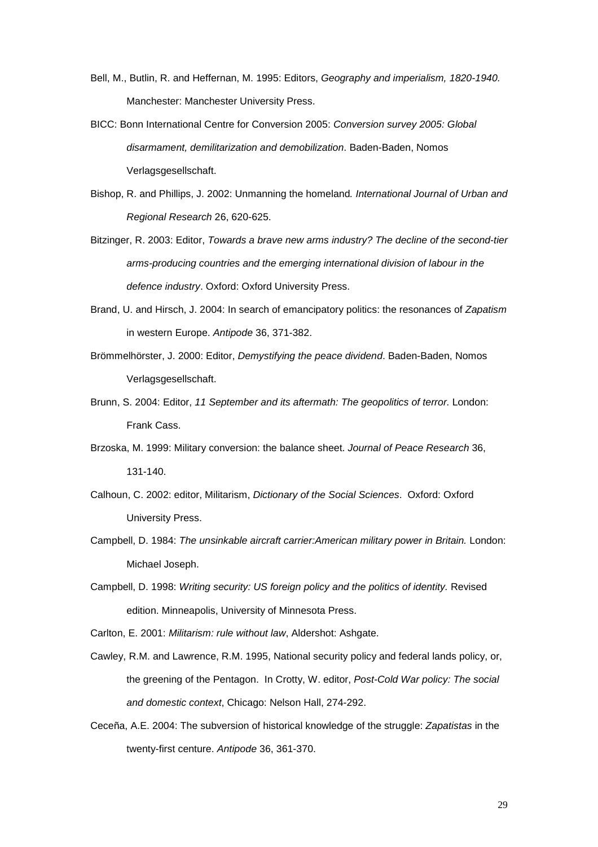- Bell, M., Butlin, R. and Heffernan, M. 1995: Editors, Geography and imperialism, 1820-1940. Manchester: Manchester University Press.
- BICC: Bonn International Centre for Conversion 2005: Conversion survey 2005: Global disarmament, demilitarization and demobilization. Baden-Baden, Nomos Verlagsgesellschaft.
- Bishop, R. and Phillips, J. 2002: Unmanning the homeland. International Journal of Urban and Regional Research 26, 620-625.
- Bitzinger, R. 2003: Editor, Towards a brave new arms industry? The decline of the second-tier arms-producing countries and the emerging international division of labour in the defence industry. Oxford: Oxford University Press.
- Brand, U. and Hirsch, J. 2004: In search of emancipatory politics: the resonances of Zapatism in western Europe. Antipode 36, 371-382.
- Brömmelhörster, J. 2000: Editor, Demystifying the peace dividend. Baden-Baden, Nomos Verlagsgesellschaft.
- Brunn, S. 2004: Editor, 11 September and its aftermath: The geopolitics of terror. London: Frank Cass.
- Brzoska, M. 1999: Military conversion: the balance sheet. Journal of Peace Research 36, 131-140.
- Calhoun, C. 2002: editor, Militarism, Dictionary of the Social Sciences. Oxford: Oxford University Press.
- Campbell, D. 1984: The unsinkable aircraft carrier:American military power in Britain. London: Michael Joseph.
- Campbell, D. 1998: Writing security: US foreign policy and the politics of identity. Revised edition. Minneapolis, University of Minnesota Press.
- Carlton, E. 2001: Militarism: rule without law, Aldershot: Ashgate.
- Cawley, R.M. and Lawrence, R.M. 1995, National security policy and federal lands policy, or, the greening of the Pentagon. In Crotty, W. editor, Post-Cold War policy: The social and domestic context, Chicago: Nelson Hall, 274-292.
- Ceceña, A.E. 2004: The subversion of historical knowledge of the struggle: Zapatistas in the twenty-first centure. Antipode 36, 361-370.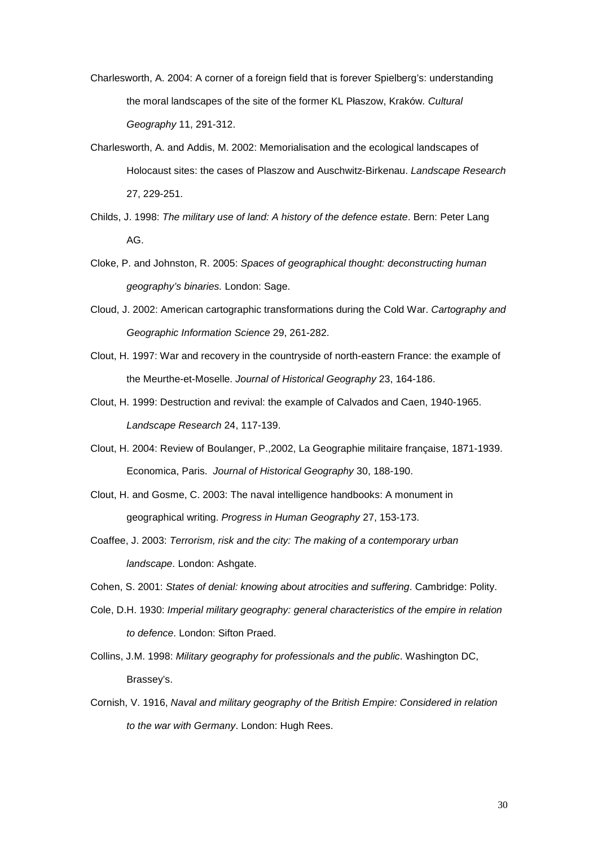- Charlesworth, A. 2004: A corner of a foreign field that is forever Spielberg's: understanding the moral landscapes of the site of the former KL Płaszow, Kraków. Cultural Geography 11, 291-312.
- Charlesworth, A. and Addis, M. 2002: Memorialisation and the ecological landscapes of Holocaust sites: the cases of Plaszow and Auschwitz-Birkenau. Landscape Research 27, 229-251.
- Childs, J. 1998: The military use of land: A history of the defence estate. Bern: Peter Lang AG.
- Cloke, P. and Johnston, R. 2005: Spaces of geographical thought: deconstructing human geography's binaries. London: Sage.
- Cloud, J. 2002: American cartographic transformations during the Cold War. Cartography and Geographic Information Science 29, 261-282.
- Clout, H. 1997: War and recovery in the countryside of north-eastern France: the example of the Meurthe-et-Moselle. Journal of Historical Geography 23, 164-186.
- Clout, H. 1999: Destruction and revival: the example of Calvados and Caen, 1940-1965. Landscape Research 24, 117-139.
- Clout, H. 2004: Review of Boulanger, P.,2002, La Geographie militaire française, 1871-1939. Economica, Paris. Journal of Historical Geography 30, 188-190.
- Clout, H. and Gosme, C. 2003: The naval intelligence handbooks: A monument in geographical writing. Progress in Human Geography 27, 153-173.
- Coaffee, J. 2003: Terrorism, risk and the city: The making of a contemporary urban landscape. London: Ashgate.
- Cohen, S. 2001: States of denial: knowing about atrocities and suffering. Cambridge: Polity.
- Cole, D.H. 1930: Imperial military geography: general characteristics of the empire in relation to defence. London: Sifton Praed.
- Collins, J.M. 1998: Military geography for professionals and the public. Washington DC, Brassey's.
- Cornish, V. 1916, Naval and military geography of the British Empire: Considered in relation to the war with Germany. London: Hugh Rees.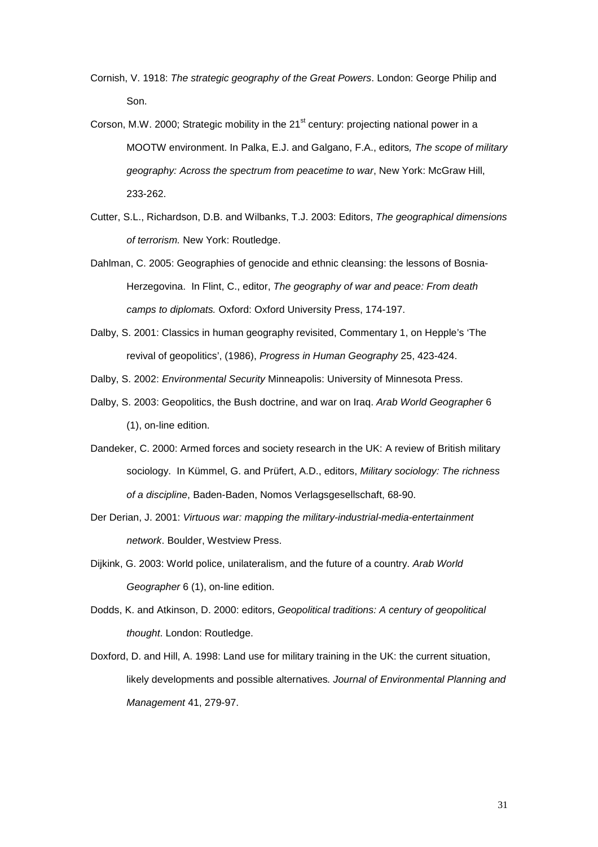- Cornish, V. 1918: The strategic geography of the Great Powers. London: George Philip and Son.
- Corson, M.W. 2000; Strategic mobility in the 21<sup>st</sup> century: projecting national power in a MOOTW environment. In Palka, E.J. and Galgano, F.A., editors, The scope of military geography: Across the spectrum from peacetime to war, New York: McGraw Hill, 233-262.
- Cutter, S.L., Richardson, D.B. and Wilbanks, T.J. 2003: Editors, The geographical dimensions of terrorism. New York: Routledge.
- Dahlman, C. 2005: Geographies of genocide and ethnic cleansing: the lessons of Bosnia-Herzegovina. In Flint, C., editor, The geography of war and peace: From death camps to diplomats. Oxford: Oxford University Press, 174-197.
- Dalby, S. 2001: Classics in human geography revisited, Commentary 1, on Hepple's 'The revival of geopolitics', (1986), Progress in Human Geography 25, 423-424.
- Dalby, S. 2002: Environmental Security Minneapolis: University of Minnesota Press.
- Dalby, S. 2003: Geopolitics, the Bush doctrine, and war on Iraq. Arab World Geographer 6 (1), on-line edition.
- Dandeker, C. 2000: Armed forces and society research in the UK: A review of British military sociology. In Kümmel, G. and Prüfert, A.D., editors, *Military sociology: The richness* of a discipline, Baden-Baden, Nomos Verlagsgesellschaft, 68-90.
- Der Derian, J. 2001: Virtuous war: mapping the military-industrial-media-entertainment network. Boulder, Westview Press.
- Dijkink, G. 2003: World police, unilateralism, and the future of a country. Arab World Geographer 6 (1), on-line edition.
- Dodds, K. and Atkinson, D. 2000: editors, Geopolitical traditions: A century of geopolitical thought. London: Routledge.
- Doxford, D. and Hill, A. 1998: Land use for military training in the UK: the current situation, likely developments and possible alternatives. Journal of Environmental Planning and Management 41, 279-97.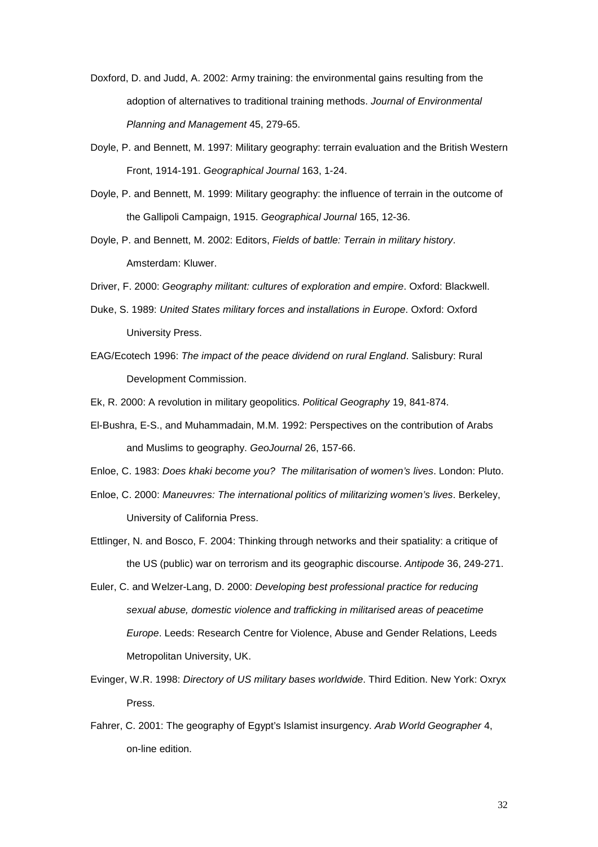- Doxford, D. and Judd, A. 2002: Army training: the environmental gains resulting from the adoption of alternatives to traditional training methods. Journal of Environmental Planning and Management 45, 279-65.
- Doyle, P. and Bennett, M. 1997: Military geography: terrain evaluation and the British Western Front, 1914-191. Geographical Journal 163, 1-24.
- Doyle, P. and Bennett, M. 1999: Military geography: the influence of terrain in the outcome of the Gallipoli Campaign, 1915. Geographical Journal 165, 12-36.
- Doyle, P. and Bennett, M. 2002: Editors, Fields of battle: Terrain in military history. Amsterdam: Kluwer.
- Driver, F. 2000: Geography militant: cultures of exploration and empire. Oxford: Blackwell.
- Duke, S. 1989: United States military forces and installations in Europe. Oxford: Oxford University Press.
- EAG/Ecotech 1996: The impact of the peace dividend on rural England. Salisbury: Rural Development Commission.
- Ek, R. 2000: A revolution in military geopolitics. Political Geography 19, 841-874.
- El-Bushra, E-S., and Muhammadain, M.M. 1992: Perspectives on the contribution of Arabs and Muslims to geography. GeoJournal 26, 157-66.
- Enloe, C. 1983: Does khaki become you? The militarisation of women's lives. London: Pluto.
- Enloe, C. 2000: Maneuvres: The international politics of militarizing women's lives. Berkeley, University of California Press.
- Ettlinger, N. and Bosco, F. 2004: Thinking through networks and their spatiality: a critique of the US (public) war on terrorism and its geographic discourse. Antipode 36, 249-271.
- Euler, C. and Welzer-Lang, D. 2000: Developing best professional practice for reducing sexual abuse, domestic violence and trafficking in militarised areas of peacetime Europe. Leeds: Research Centre for Violence, Abuse and Gender Relations, Leeds Metropolitan University, UK.
- Evinger, W.R. 1998: Directory of US military bases worldwide. Third Edition. New York: Oxryx Press.
- Fahrer, C. 2001: The geography of Egypt's Islamist insurgency. Arab World Geographer 4, on-line edition.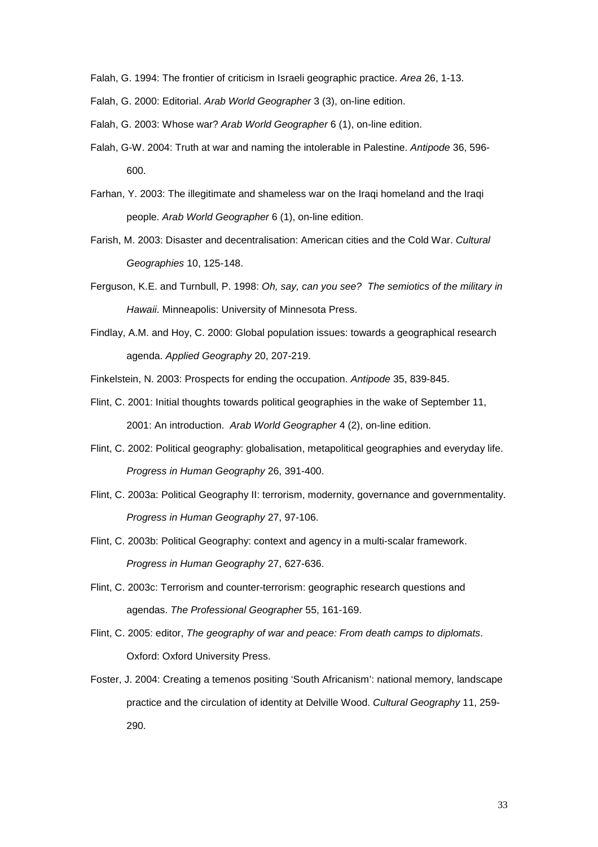- Falah, G. 1994: The frontier of criticism in Israeli geographic practice. Area 26, 1-13.
- Falah, G. 2000: Editorial. Arab World Geographer 3 (3), on-line edition.
- Falah, G. 2003: Whose war? Arab World Geographer 6 (1), on-line edition.
- Falah, G-W. 2004: Truth at war and naming the intolerable in Palestine. Antipode 36, 596- 600.
- Farhan, Y. 2003: The illegitimate and shameless war on the Iraqi homeland and the Iraqi people. Arab World Geographer 6 (1), on-line edition.
- Farish, M. 2003: Disaster and decentralisation: American cities and the Cold War. Cultural Geographies 10, 125-148.
- Ferguson, K.E. and Turnbull, P. 1998: Oh, say, can you see? The semiotics of the military in Hawaii. Minneapolis: University of Minnesota Press.
- Findlay, A.M. and Hoy, C. 2000: Global population issues: towards a geographical research agenda. Applied Geography 20, 207-219.
- Finkelstein, N. 2003: Prospects for ending the occupation. Antipode 35, 839-845.
- Flint, C. 2001: Initial thoughts towards political geographies in the wake of September 11, 2001: An introduction. Arab World Geographer 4 (2), on-line edition.
- Flint, C. 2002: Political geography: globalisation, metapolitical geographies and everyday life. Progress in Human Geography 26, 391-400.
- Flint, C. 2003a: Political Geography II: terrorism, modernity, governance and governmentality. Progress in Human Geography 27, 97-106.
- Flint, C. 2003b: Political Geography: context and agency in a multi-scalar framework. Progress in Human Geography 27, 627-636.
- Flint, C. 2003c: Terrorism and counter-terrorism: geographic research questions and agendas. The Professional Geographer 55, 161-169.
- Flint, C. 2005: editor, The geography of war and peace: From death camps to diplomats. Oxford: Oxford University Press.
- Foster, J. 2004: Creating a temenos positing 'South Africanism': national memory, landscape practice and the circulation of identity at Delville Wood. Cultural Geography 11, 259- 290.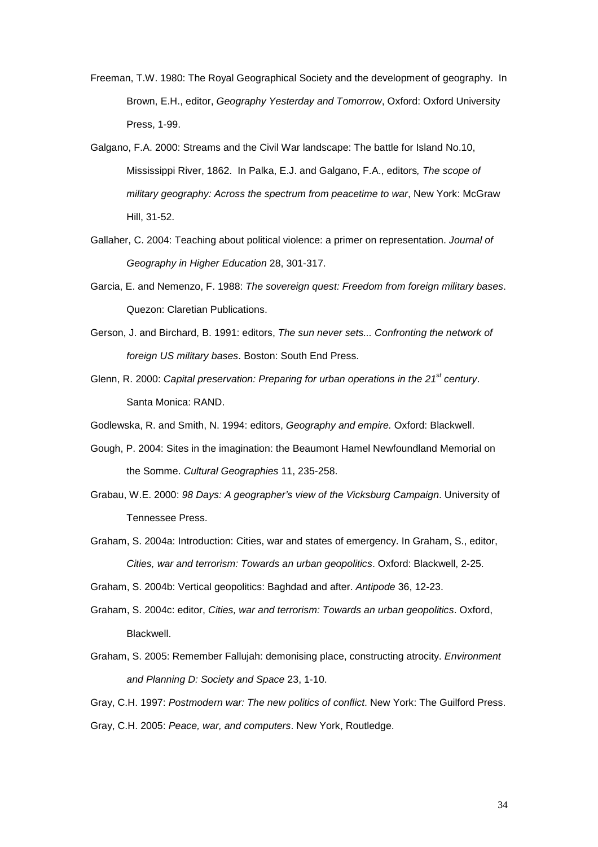- Freeman, T.W. 1980: The Royal Geographical Society and the development of geography. In Brown, E.H., editor, Geography Yesterday and Tomorrow, Oxford: Oxford University Press, 1-99.
- Galgano, F.A. 2000: Streams and the Civil War landscape: The battle for Island No.10, Mississippi River, 1862. In Palka, E.J. and Galgano, F.A., editors, The scope of military geography: Across the spectrum from peacetime to war, New York: McGraw Hill, 31-52.
- Gallaher, C. 2004: Teaching about political violence: a primer on representation. Journal of Geography in Higher Education 28, 301-317.
- Garcia, E. and Nemenzo, F. 1988: The sovereign quest: Freedom from foreign military bases. Quezon: Claretian Publications.
- Gerson, J. and Birchard, B. 1991: editors, The sun never sets... Confronting the network of foreign US military bases. Boston: South End Press.
- Glenn, R. 2000: Capital preservation: Preparing for urban operations in the  $21<sup>st</sup>$  century. Santa Monica: RAND.
- Godlewska, R. and Smith, N. 1994: editors, Geography and empire. Oxford: Blackwell.
- Gough, P. 2004: Sites in the imagination: the Beaumont Hamel Newfoundland Memorial on the Somme. Cultural Geographies 11, 235-258.
- Grabau, W.E. 2000: 98 Days: A geographer's view of the Vicksburg Campaign. University of Tennessee Press.
- Graham, S. 2004a: Introduction: Cities, war and states of emergency. In Graham, S., editor, Cities, war and terrorism: Towards an urban geopolitics. Oxford: Blackwell, 2-25.
- Graham, S. 2004b: Vertical geopolitics: Baghdad and after. Antipode 36, 12-23.
- Graham, S. 2004c: editor, Cities, war and terrorism: Towards an urban geopolitics. Oxford, Blackwell.
- Graham, S. 2005: Remember Fallujah: demonising place, constructing atrocity. Environment and Planning D: Society and Space 23, 1-10.
- Gray, C.H. 1997: Postmodern war: The new politics of conflict. New York: The Guilford Press. Gray, C.H. 2005: Peace, war, and computers. New York, Routledge.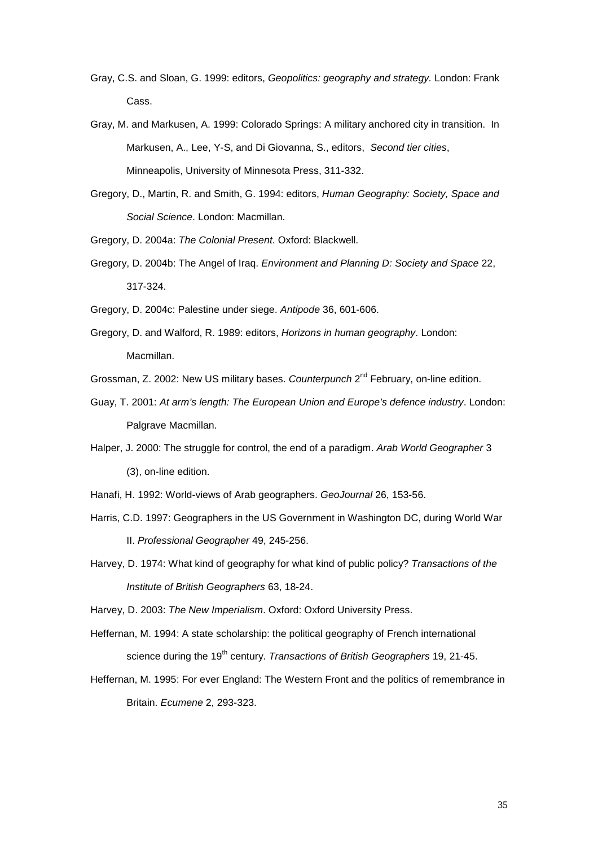- Gray, C.S. and Sloan, G. 1999: editors, Geopolitics: geography and strategy. London: Frank Cass.
- Gray, M. and Markusen, A. 1999: Colorado Springs: A military anchored city in transition. In Markusen, A., Lee, Y-S, and Di Giovanna, S., editors, Second tier cities, Minneapolis, University of Minnesota Press, 311-332.
- Gregory, D., Martin, R. and Smith, G. 1994: editors, Human Geography: Society, Space and Social Science. London: Macmillan.
- Gregory, D. 2004a: The Colonial Present. Oxford: Blackwell.
- Gregory, D. 2004b: The Angel of Iraq. Environment and Planning D: Society and Space 22, 317-324.
- Gregory, D. 2004c: Palestine under siege. Antipode 36, 601-606.
- Gregory, D. and Walford, R. 1989: editors, Horizons in human geography. London: Macmillan.
- Grossman, Z. 2002: New US military bases. Counterpunch 2<sup>nd</sup> February, on-line edition.
- Guay, T. 2001: At arm's length: The European Union and Europe's defence industry. London: Palgrave Macmillan.
- Halper, J. 2000: The struggle for control, the end of a paradigm. Arab World Geographer 3 (3), on-line edition.
- Hanafi, H. 1992: World-views of Arab geographers. GeoJournal 26, 153-56.
- Harris, C.D. 1997: Geographers in the US Government in Washington DC, during World War II. Professional Geographer 49, 245-256.
- Harvey, D. 1974: What kind of geography for what kind of public policy? Transactions of the Institute of British Geographers 63, 18-24.
- Harvey, D. 2003: The New Imperialism. Oxford: Oxford University Press.
- Heffernan, M. 1994: A state scholarship: the political geography of French international science during the 19<sup>th</sup> century. Transactions of British Geographers 19, 21-45.
- Heffernan, M. 1995: For ever England: The Western Front and the politics of remembrance in Britain. Ecumene 2, 293-323.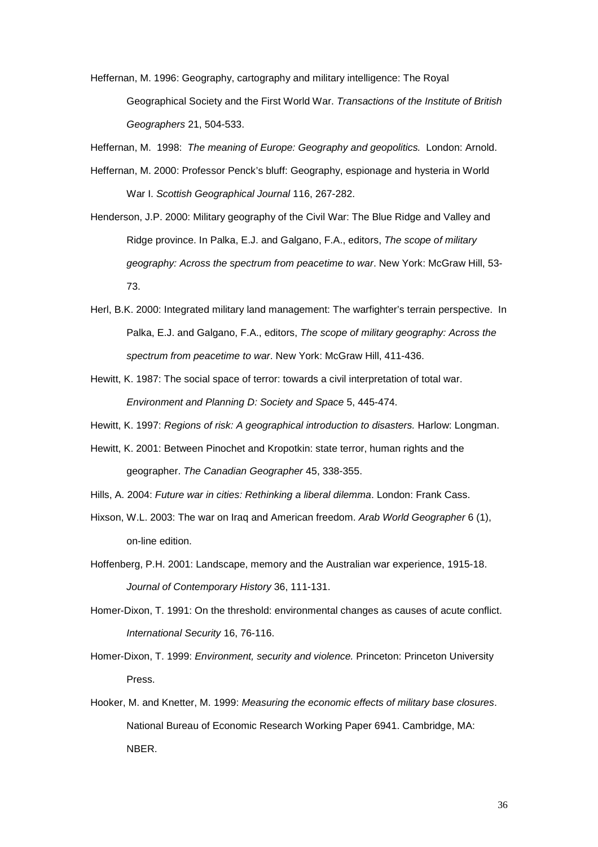Heffernan, M. 1996: Geography, cartography and military intelligence: The Royal Geographical Society and the First World War. Transactions of the Institute of British Geographers 21, 504-533.

Heffernan, M. 1998: The meaning of Europe: Geography and geopolitics. London: Arnold.

- Heffernan, M. 2000: Professor Penck's bluff: Geography, espionage and hysteria in World War I. Scottish Geographical Journal 116, 267-282.
- Henderson, J.P. 2000: Military geography of the Civil War: The Blue Ridge and Valley and Ridge province. In Palka, E.J. and Galgano, F.A., editors, The scope of military geography: Across the spectrum from peacetime to war. New York: McGraw Hill, 53- 73.
- Herl, B.K. 2000: Integrated military land management: The warfighter's terrain perspective. In Palka, E.J. and Galgano, F.A., editors, The scope of military geography: Across the spectrum from peacetime to war. New York: McGraw Hill, 411-436.
- Hewitt, K. 1987: The social space of terror: towards a civil interpretation of total war. Environment and Planning D: Society and Space 5, 445-474.

Hewitt, K. 1997: Regions of risk: A geographical introduction to disasters. Harlow: Longman.

- Hewitt, K. 2001: Between Pinochet and Kropotkin: state terror, human rights and the geographer. The Canadian Geographer 45, 338-355.
- Hills, A. 2004: Future war in cities: Rethinking a liberal dilemma. London: Frank Cass.
- Hixson, W.L. 2003: The war on Iraq and American freedom. Arab World Geographer 6 (1), on-line edition.
- Hoffenberg, P.H. 2001: Landscape, memory and the Australian war experience, 1915-18. Journal of Contemporary History 36, 111-131.
- Homer-Dixon, T. 1991: On the threshold: environmental changes as causes of acute conflict. International Security 16, 76-116.

Homer-Dixon, T. 1999: Environment, security and violence. Princeton: Princeton University Press.

Hooker, M. and Knetter, M. 1999: Measuring the economic effects of military base closures. National Bureau of Economic Research Working Paper 6941. Cambridge, MA: NBER.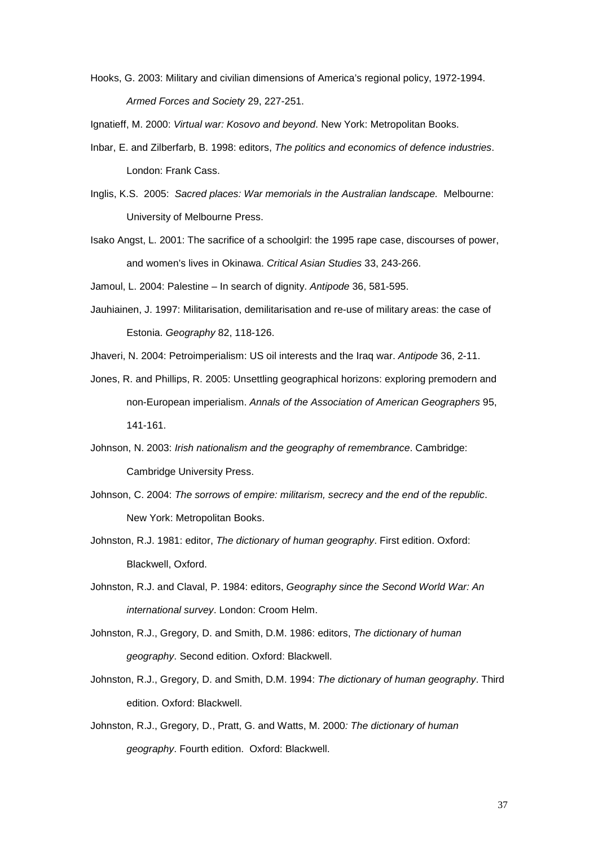Hooks, G. 2003: Military and civilian dimensions of America's regional policy, 1972-1994. Armed Forces and Society 29, 227-251.

Ignatieff, M. 2000: Virtual war: Kosovo and beyond. New York: Metropolitan Books.

- Inbar, E. and Zilberfarb, B. 1998: editors, The politics and economics of defence industries. London: Frank Cass.
- Inglis, K.S. 2005: Sacred places: War memorials in the Australian landscape. Melbourne: University of Melbourne Press.
- Isako Angst, L. 2001: The sacrifice of a schoolgirl: the 1995 rape case, discourses of power, and women's lives in Okinawa. Critical Asian Studies 33, 243-266.

Jamoul, L. 2004: Palestine – In search of dignity. Antipode 36, 581-595.

- Jauhiainen, J. 1997: Militarisation, demilitarisation and re-use of military areas: the case of Estonia. Geography 82, 118-126.
- Jhaveri, N. 2004: Petroimperialism: US oil interests and the Iraq war. Antipode 36, 2-11.
- Jones, R. and Phillips, R. 2005: Unsettling geographical horizons: exploring premodern and non-European imperialism. Annals of the Association of American Geographers 95, 141-161.
- Johnson, N. 2003: Irish nationalism and the geography of remembrance. Cambridge: Cambridge University Press.
- Johnson, C. 2004: The sorrows of empire: militarism, secrecy and the end of the republic. New York: Metropolitan Books.
- Johnston, R.J. 1981: editor, The dictionary of human geography. First edition. Oxford: Blackwell, Oxford.
- Johnston, R.J. and Claval, P. 1984: editors, Geography since the Second World War: An international survey. London: Croom Helm.
- Johnston, R.J., Gregory, D. and Smith, D.M. 1986; editors, The dictionary of human geography. Second edition. Oxford: Blackwell.
- Johnston, R.J., Gregory, D. and Smith, D.M. 1994: The dictionary of human geography. Third edition. Oxford: Blackwell.
- Johnston, R.J., Gregory, D., Pratt, G. and Watts, M. 2000: The dictionary of human geography. Fourth edition. Oxford: Blackwell.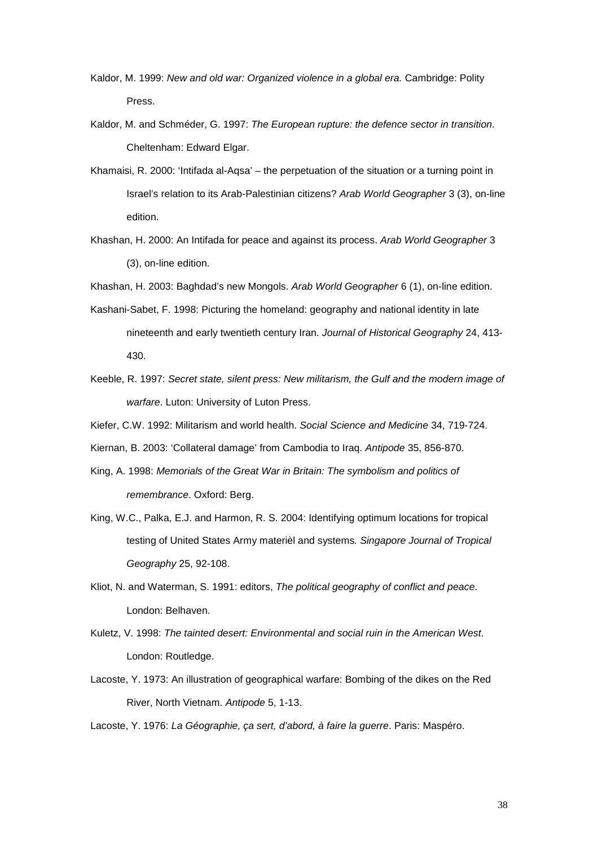- Kaldor, M. 1999: New and old war: Organized violence in a global era. Cambridge: Polity Press.
- Kaldor, M. and Schméder, G. 1997: The European rupture: the defence sector in transition. Cheltenham: Edward Elgar.
- Khamaisi, R. 2000: 'Intifada al-Aqsa' the perpetuation of the situation or a turning point in Israel's relation to its Arab-Palestinian citizens? Arab World Geographer 3 (3), on-line edition.
- Khashan, H. 2000: An Intifada for peace and against its process. Arab World Geographer 3 (3), on-line edition.
- Khashan, H. 2003: Baghdad's new Mongols. Arab World Geographer 6 (1), on-line edition.
- Kashani-Sabet, F. 1998: Picturing the homeland: geography and national identity in late nineteenth and early twentieth century Iran. Journal of Historical Geography 24, 413- 430.
- Keeble, R. 1997: Secret state, silent press: New militarism, the Gulf and the modern image of warfare. Luton: University of Luton Press.
- Kiefer, C.W. 1992: Militarism and world health. Social Science and Medicine 34, 719-724.
- Kiernan, B. 2003: 'Collateral damage' from Cambodia to Iraq. Antipode 35, 856-870.
- King, A. 1998: Memorials of the Great War in Britain: The symbolism and politics of remembrance. Oxford: Berg.
- King, W.C., Palka, E.J. and Harmon, R. S. 2004: Identifying optimum locations for tropical testing of United States Army materièl and systems. Singapore Journal of Tropical Geography 25, 92-108.
- Kliot, N. and Waterman, S. 1991: editors, The political geography of conflict and peace. London: Belhaven.
- Kuletz, V. 1998: The tainted desert: Environmental and social ruin in the American West. London: Routledge.
- Lacoste, Y. 1973: An illustration of geographical warfare: Bombing of the dikes on the Red River, North Vietnam. Antipode 5, 1-13.
- Lacoste, Y. 1976: La Géographie, ça sert, d'abord, à faire la guerre. Paris: Maspéro.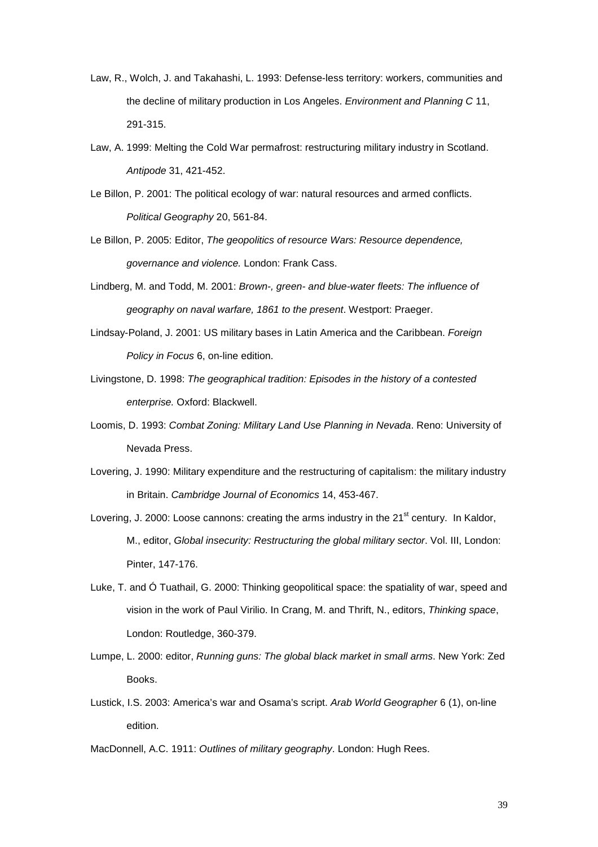- Law, R., Wolch, J. and Takahashi, L. 1993: Defense-less territory: workers, communities and the decline of military production in Los Angeles. Environment and Planning C 11, 291-315.
- Law, A. 1999: Melting the Cold War permafrost: restructuring military industry in Scotland. Antipode 31, 421-452.
- Le Billon, P. 2001: The political ecology of war: natural resources and armed conflicts. Political Geography 20, 561-84.
- Le Billon, P. 2005: Editor, The geopolitics of resource Wars: Resource dependence, governance and violence. London: Frank Cass.
- Lindberg, M. and Todd, M. 2001: Brown-, green- and blue-water fleets: The influence of geography on naval warfare, 1861 to the present. Westport: Praeger.
- Lindsay-Poland, J. 2001: US military bases in Latin America and the Caribbean. Foreign Policy in Focus 6, on-line edition.
- Livingstone, D. 1998: The geographical tradition: Episodes in the history of a contested enterprise. Oxford: Blackwell.
- Loomis, D. 1993: Combat Zoning: Military Land Use Planning in Nevada. Reno: University of Nevada Press.
- Lovering, J. 1990: Military expenditure and the restructuring of capitalism: the military industry in Britain. Cambridge Journal of Economics 14, 453-467.
- Lovering, J. 2000: Loose cannons: creating the arms industry in the  $21<sup>st</sup>$  century. In Kaldor, M., editor, Global insecurity: Restructuring the global military sector. Vol. III, London: Pinter, 147-176.
- Luke, T. and Ó Tuathail, G. 2000: Thinking geopolitical space: the spatiality of war, speed and vision in the work of Paul Virilio. In Crang, M. and Thrift, N., editors, Thinking space, London: Routledge, 360-379.
- Lumpe, L. 2000: editor, Running guns: The global black market in small arms. New York: Zed Books.
- Lustick, I.S. 2003: America's war and Osama's script. Arab World Geographer 6 (1), on-line edition.

MacDonnell, A.C. 1911: Outlines of military geography. London: Hugh Rees.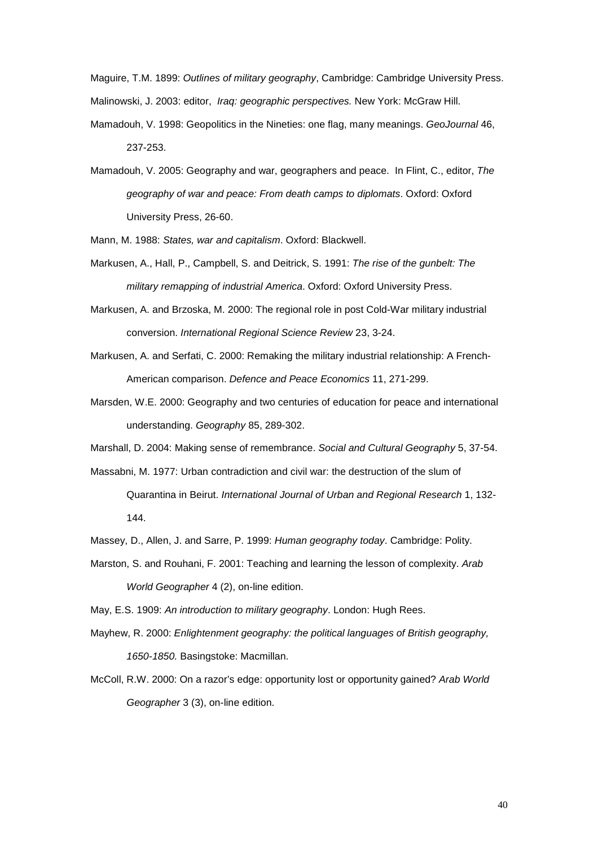Maguire, T.M. 1899: Outlines of military geography, Cambridge: Cambridge University Press. Malinowski, J. 2003: editor, Iraq: geographic perspectives. New York: McGraw Hill.

- Mamadouh, V. 1998: Geopolitics in the Nineties: one flag, many meanings. GeoJournal 46, 237-253.
- Mamadouh, V. 2005: Geography and war, geographers and peace. In Flint, C., editor, The geography of war and peace: From death camps to diplomats. Oxford: Oxford University Press, 26-60.

Mann, M. 1988: States, war and capitalism. Oxford: Blackwell.

- Markusen, A., Hall, P., Campbell, S. and Deitrick, S. 1991: The rise of the gunbelt: The military remapping of industrial America. Oxford: Oxford University Press.
- Markusen, A. and Brzoska, M. 2000: The regional role in post Cold-War military industrial conversion. International Regional Science Review 23, 3-24.
- Markusen, A. and Serfati, C. 2000: Remaking the military industrial relationship: A French-American comparison. Defence and Peace Economics 11, 271-299.
- Marsden, W.E. 2000: Geography and two centuries of education for peace and international understanding. Geography 85, 289-302.
- Marshall, D. 2004: Making sense of remembrance. Social and Cultural Geography 5, 37-54.
- Massabni, M. 1977: Urban contradiction and civil war: the destruction of the slum of Quarantina in Beirut. International Journal of Urban and Regional Research 1, 132- 144.
- Massey, D., Allen, J. and Sarre, P. 1999: Human geography today. Cambridge: Polity.
- Marston, S. and Rouhani, F. 2001: Teaching and learning the lesson of complexity. Arab World Geographer 4 (2), on-line edition.
- May, E.S. 1909: An introduction to military geography. London: Hugh Rees.
- Mayhew, R. 2000: Enlightenment geography: the political languages of British geography, 1650-1850. Basingstoke: Macmillan.
- McColl, R.W. 2000: On a razor's edge: opportunity lost or opportunity gained? Arab World Geographer 3 (3), on-line edition.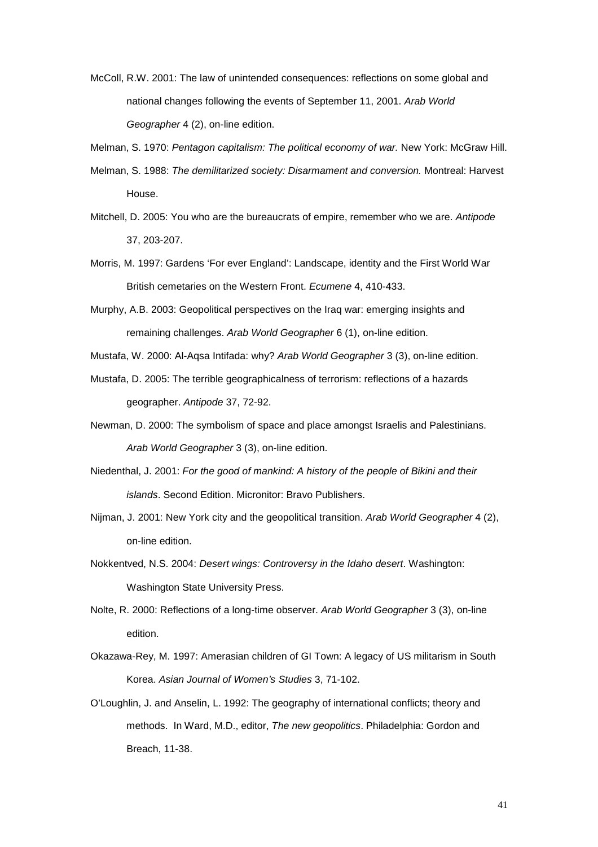McColl, R.W. 2001: The law of unintended consequences: reflections on some global and national changes following the events of September 11, 2001. Arab World Geographer 4 (2), on-line edition.

Melman, S. 1970: Pentagon capitalism: The political economy of war. New York: McGraw Hill.

- Melman, S. 1988: The demilitarized society: Disarmament and conversion. Montreal: Harvest House.
- Mitchell, D. 2005: You who are the bureaucrats of empire, remember who we are. Antipode 37, 203-207.
- Morris, M. 1997: Gardens 'For ever England': Landscape, identity and the First World War British cemetaries on the Western Front. Ecumene 4, 410-433.
- Murphy, A.B. 2003: Geopolitical perspectives on the Iraq war: emerging insights and remaining challenges. Arab World Geographer 6 (1), on-line edition.
- Mustafa, W. 2000: Al-Aqsa Intifada: why? Arab World Geographer 3 (3), on-line edition.
- Mustafa, D. 2005: The terrible geographicalness of terrorism: reflections of a hazards geographer. Antipode 37, 72-92.
- Newman, D. 2000: The symbolism of space and place amongst Israelis and Palestinians. Arab World Geographer 3 (3), on-line edition.
- Niedenthal, J. 2001: For the good of mankind: A history of the people of Bikini and their islands. Second Edition. Micronitor: Bravo Publishers.
- Nijman, J. 2001: New York city and the geopolitical transition. Arab World Geographer 4 (2), on-line edition.
- Nokkentved, N.S. 2004: Desert wings: Controversy in the Idaho desert. Washington: Washington State University Press.
- Nolte, R. 2000: Reflections of a long-time observer. Arab World Geographer 3 (3), on-line edition.
- Okazawa-Rey, M. 1997: Amerasian children of GI Town: A legacy of US militarism in South Korea. Asian Journal of Women's Studies 3, 71-102.
- O'Loughlin, J. and Anselin, L. 1992: The geography of international conflicts; theory and methods. In Ward, M.D., editor, The new geopolitics. Philadelphia: Gordon and Breach, 11-38.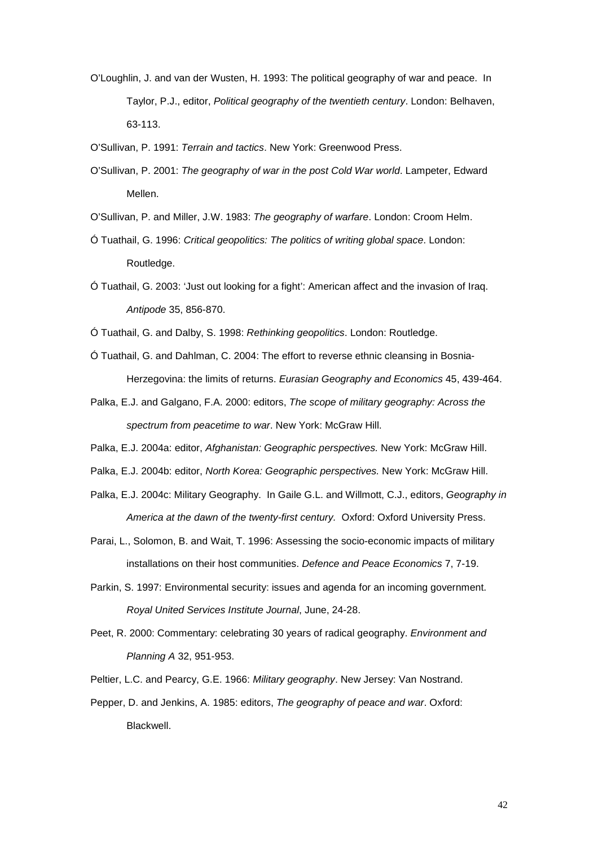- O'Loughlin, J. and van der Wusten, H. 1993: The political geography of war and peace. In Taylor, P.J., editor, Political geography of the twentieth century. London: Belhaven, 63-113.
- O'Sullivan, P. 1991: Terrain and tactics. New York: Greenwood Press.
- O'Sullivan, P. 2001: The geography of war in the post Cold War world. Lampeter, Edward Mellen.
- O'Sullivan, P. and Miller, J.W. 1983: The geography of warfare. London: Croom Helm.
- Ó Tuathail, G. 1996: Critical geopolitics: The politics of writing global space. London: Routledge.
- Ó Tuathail, G. 2003: 'Just out looking for a fight': American affect and the invasion of Iraq. Antipode 35, 856-870.
- Ó Tuathail, G. and Dalby, S. 1998: Rethinking geopolitics. London: Routledge.
- Ó Tuathail, G. and Dahlman, C. 2004: The effort to reverse ethnic cleansing in Bosnia-Herzegovina: the limits of returns. Eurasian Geography and Economics 45, 439-464.
- Palka, E.J. and Galgano, F.A. 2000: editors, The scope of military geography: Across the spectrum from peacetime to war. New York: McGraw Hill.
- Palka, E.J. 2004a: editor, Afghanistan: Geographic perspectives. New York: McGraw Hill.
- Palka, E.J. 2004b: editor, North Korea: Geographic perspectives. New York: McGraw Hill.
- Palka, E.J. 2004c: Military Geography. In Gaile G.L. and Willmott, C.J., editors, Geography in America at the dawn of the twenty-first century. Oxford: Oxford University Press.
- Parai, L., Solomon, B. and Wait, T. 1996: Assessing the socio-economic impacts of military installations on their host communities. Defence and Peace Economics 7, 7-19.
- Parkin, S. 1997: Environmental security: issues and agenda for an incoming government. Royal United Services Institute Journal, June, 24-28.
- Peet, R. 2000; Commentary: celebrating 30 years of radical geography. Environment and Planning A 32, 951-953.
- Peltier, L.C. and Pearcy, G.E. 1966: Military geography. New Jersey: Van Nostrand.
- Pepper, D. and Jenkins, A. 1985: editors, The geography of peace and war. Oxford: Blackwell.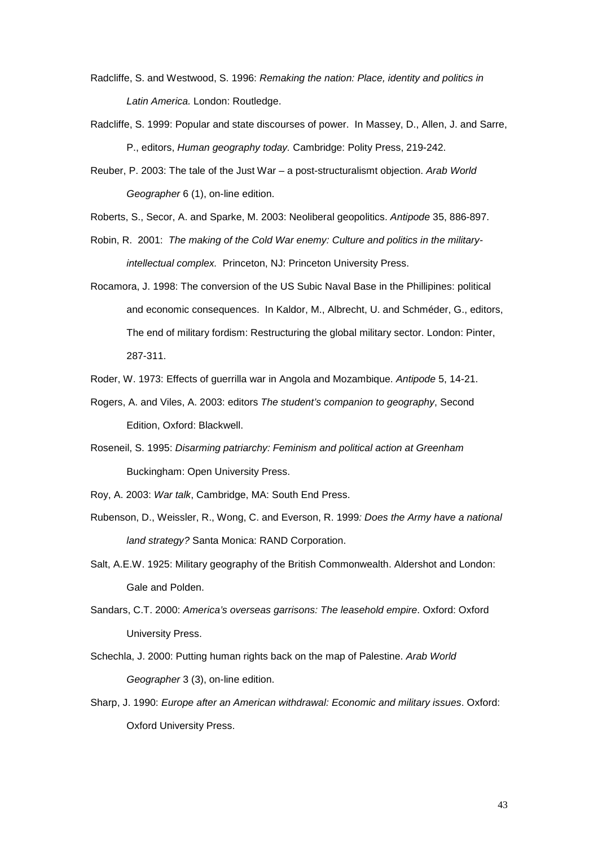- Radcliffe, S. and Westwood, S. 1996: Remaking the nation: Place, identity and politics in Latin America. London: Routledge.
- Radcliffe, S. 1999: Popular and state discourses of power. In Massey, D., Allen, J. and Sarre, P., editors, Human geography today. Cambridge: Polity Press, 219-242.
- Reuber, P. 2003: The tale of the Just War a post-structuralismt objection. Arab World Geographer 6 (1), on-line edition.
- Roberts, S., Secor, A. and Sparke, M. 2003: Neoliberal geopolitics. Antipode 35, 886-897.
- Robin, R. 2001: The making of the Cold War enemy: Culture and politics in the militaryintellectual complex. Princeton, NJ: Princeton University Press.
- Rocamora, J. 1998: The conversion of the US Subic Naval Base in the Phillipines: political and economic consequences. In Kaldor, M., Albrecht, U. and Schméder, G., editors, The end of military fordism: Restructuring the global military sector. London: Pinter, 287-311.
- Roder, W. 1973: Effects of guerrilla war in Angola and Mozambique. Antipode 5, 14-21.
- Rogers, A. and Viles, A. 2003: editors The student's companion to geography, Second Edition, Oxford: Blackwell.
- Roseneil, S. 1995: Disarming patriarchy: Feminism and political action at Greenham Buckingham: Open University Press.
- Roy, A. 2003: War talk, Cambridge, MA: South End Press.
- Rubenson, D., Weissler, R., Wong, C. and Everson, R. 1999: Does the Army have a national land strategy? Santa Monica: RAND Corporation.
- Salt, A.E.W. 1925: Military geography of the British Commonwealth. Aldershot and London: Gale and Polden.
- Sandars, C.T. 2000: America's overseas garrisons: The leasehold empire. Oxford: Oxford University Press.
- Schechla, J. 2000: Putting human rights back on the map of Palestine. Arab World Geographer 3 (3), on-line edition.
- Sharp, J. 1990: Europe after an American withdrawal: Economic and military issues. Oxford: Oxford University Press.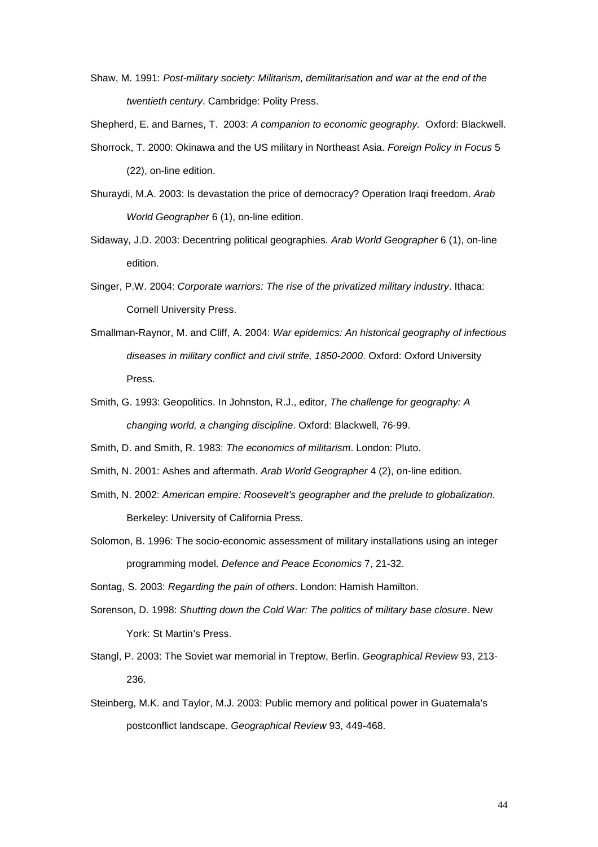Shaw, M. 1991: Post-military society: Militarism, demilitarisation and war at the end of the twentieth century. Cambridge: Polity Press.

Shepherd, E. and Barnes, T. 2003: A companion to economic geography. Oxford: Blackwell.

- Shorrock, T. 2000: Okinawa and the US military in Northeast Asia. Foreign Policy in Focus 5 (22), on-line edition.
- Shuraydi, M.A. 2003: Is devastation the price of democracy? Operation Iraqi freedom. Arab World Geographer 6 (1), on-line edition.
- Sidaway, J.D. 2003: Decentring political geographies. Arab World Geographer 6 (1), on-line edition.
- Singer, P.W. 2004: Corporate warriors: The rise of the privatized military industry. Ithaca: Cornell University Press.
- Smallman-Raynor, M. and Cliff, A. 2004: War epidemics: An historical geography of infectious diseases in military conflict and civil strife, 1850-2000. Oxford: Oxford University Press.
- Smith, G. 1993: Geopolitics. In Johnston, R.J., editor, The challenge for geography: A changing world, a changing discipline. Oxford: Blackwell, 76-99.
- Smith, D. and Smith, R. 1983: The economics of militarism. London: Pluto.
- Smith, N. 2001: Ashes and aftermath. Arab World Geographer 4 (2), on-line edition.
- Smith, N. 2002: American empire: Roosevelt's geographer and the prelude to globalization. Berkeley: University of California Press.
- Solomon, B. 1996: The socio-economic assessment of military installations using an integer programming model. Defence and Peace Economics 7, 21-32.
- Sontag, S. 2003: Regarding the pain of others. London: Hamish Hamilton.
- Sorenson, D. 1998: Shutting down the Cold War: The politics of military base closure. New York: St Martin's Press.
- Stangl, P. 2003: The Soviet war memorial in Treptow, Berlin. Geographical Review 93, 213- 236.
- Steinberg, M.K. and Taylor, M.J. 2003: Public memory and political power in Guatemala's postconflict landscape. Geographical Review 93, 449-468.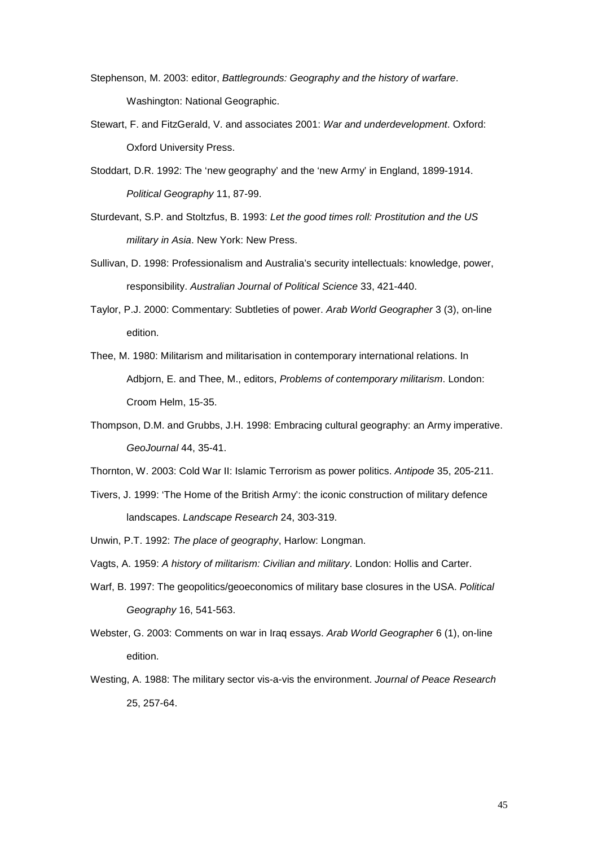- Stephenson, M. 2003: editor, Battlegrounds: Geography and the history of warfare. Washington: National Geographic.
- Stewart, F. and FitzGerald, V. and associates 2001: War and underdevelopment. Oxford: Oxford University Press.
- Stoddart, D.R. 1992: The 'new geography' and the 'new Army' in England, 1899-1914. Political Geography 11, 87-99.
- Sturdevant, S.P. and Stoltzfus, B. 1993: Let the good times roll: Prostitution and the US military in Asia. New York: New Press.
- Sullivan, D. 1998: Professionalism and Australia's security intellectuals: knowledge, power, responsibility. Australian Journal of Political Science 33, 421-440.
- Taylor, P.J. 2000: Commentary: Subtleties of power. Arab World Geographer 3 (3), on-line edition.
- Thee, M. 1980: Militarism and militarisation in contemporary international relations. In Adbjorn, E. and Thee, M., editors, Problems of contemporary militarism. London: Croom Helm, 15-35.
- Thompson, D.M. and Grubbs, J.H. 1998: Embracing cultural geography: an Army imperative. GeoJournal 44, 35-41.

Thornton, W. 2003: Cold War II: Islamic Terrorism as power politics. Antipode 35, 205-211.

- Tivers, J. 1999: 'The Home of the British Army': the iconic construction of military defence landscapes. Landscape Research 24, 303-319.
- Unwin, P.T. 1992: The place of geography, Harlow: Longman.
- Vagts, A. 1959: A history of militarism: Civilian and military. London: Hollis and Carter.
- Warf, B. 1997: The geopolitics/geoeconomics of military base closures in the USA. Political Geography 16, 541-563.
- Webster, G. 2003: Comments on war in Iraq essays. Arab World Geographer 6 (1), on-line edition.
- Westing, A. 1988: The military sector vis-a-vis the environment. Journal of Peace Research 25, 257-64.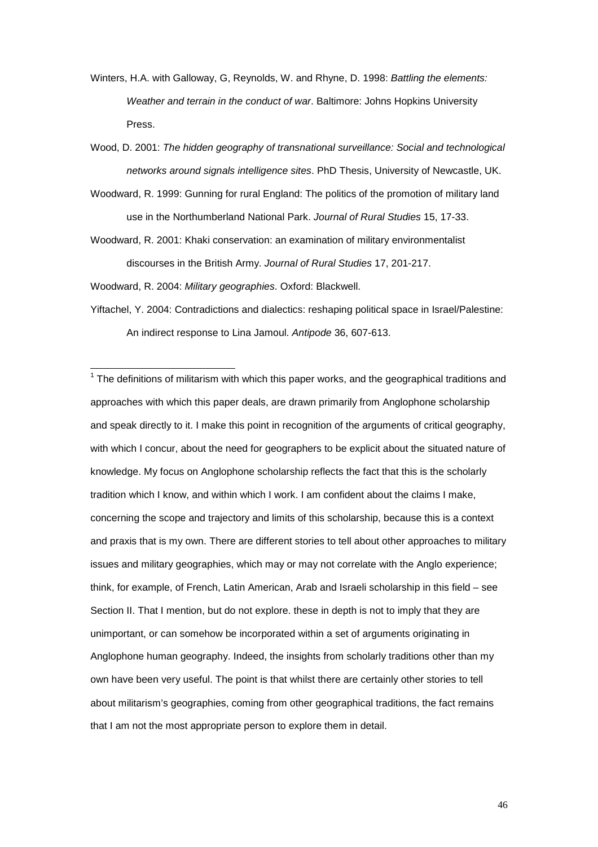- Winters, H.A. with Galloway, G, Reynolds, W. and Rhyne, D. 1998: Battling the elements: Weather and terrain in the conduct of war. Baltimore: Johns Hopkins University Press.
- Wood, D. 2001: The hidden geography of transnational surveillance: Social and technological networks around signals intelligence sites. PhD Thesis, University of Newcastle, UK.
- Woodward, R. 1999: Gunning for rural England: The politics of the promotion of military land use in the Northumberland National Park. Journal of Rural Studies 15, 17-33.
- Woodward, R. 2001: Khaki conservation: an examination of military environmentalist discourses in the British Army. Journal of Rural Studies 17, 201-217.

Woodward, R. 2004: Military geographies. Oxford: Blackwell.

Yiftachel, Y. 2004: Contradictions and dialectics: reshaping political space in Israel/Palestine: An indirect response to Lina Jamoul. Antipode 36, 607-613.

————————————————————<br><sup>1</sup> The definitions of militarism with which this paper works, and the geographical traditions and approaches with which this paper deals, are drawn primarily from Anglophone scholarship and speak directly to it. I make this point in recognition of the arguments of critical geography, with which I concur, about the need for geographers to be explicit about the situated nature of knowledge. My focus on Anglophone scholarship reflects the fact that this is the scholarly tradition which I know, and within which I work. I am confident about the claims I make, concerning the scope and trajectory and limits of this scholarship, because this is a context and praxis that is my own. There are different stories to tell about other approaches to military issues and military geographies, which may or may not correlate with the Anglo experience; think, for example, of French, Latin American, Arab and Israeli scholarship in this field – see Section II. That I mention, but do not explore. these in depth is not to imply that they are unimportant, or can somehow be incorporated within a set of arguments originating in Anglophone human geography. Indeed, the insights from scholarly traditions other than my own have been very useful. The point is that whilst there are certainly other stories to tell about militarism's geographies, coming from other geographical traditions, the fact remains that I am not the most appropriate person to explore them in detail.